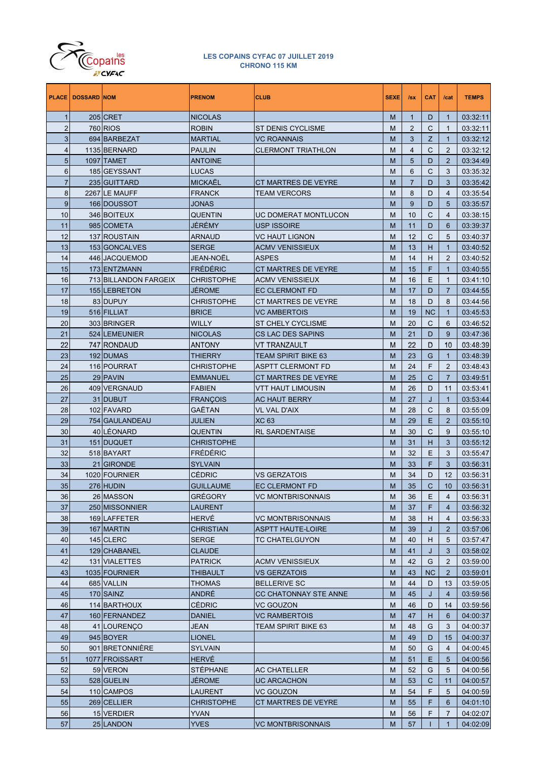

| 205 CRET<br>$\mathbf{1}$<br><b>NICOLAS</b><br>$\mathbf{1}$<br>D<br>03:32:11<br>M<br>1<br>$\overline{2}$<br><b>760 RIOS</b><br>$\overline{2}$<br>С<br><b>ROBIN</b><br><b>ST DENIS CYCLISME</b><br>М<br>03:32:11<br>1<br>3<br>Z<br>694 BARBEZAT<br><b>MARTIAL</b><br><b>VC ROANNAIS</b><br>М<br>3<br>03:32:12<br>1<br>1135 BERNARD<br>$\overline{4}$<br>С<br>03:32:12<br>$\overline{4}$<br><b>PAULIN</b><br><b>CLERMONT TRIATHLON</b><br>М<br>2<br>5<br>1097 TAMET<br><b>ANTOINE</b><br>5<br>D<br>$\overline{2}$<br>03:34:49<br>М<br>6<br>6<br>C<br>185 GEYSSANT<br>LUCAS<br>M<br>3<br>03:35:32<br>$\overline{7}$<br><b>MICKAËL</b><br>$\overline{7}$<br>235 GUITTARD<br>CT MARTRES DE VEYRE<br>D<br>3<br>03:35:42<br>М<br>8<br>8<br>2267 LE MAUFF<br><b>FRANCK</b><br><b>TEAM VERCORS</b><br>D<br>4<br>03:35:54<br>М<br>9<br>9<br>166 DOUSSOT<br><b>JONAS</b><br>М<br>D<br>03:35:57<br>5<br>10<br>346 BOITEUX<br>10<br>С<br><b>QUENTIN</b><br>UC DOMERAT MONTLUCON<br>М<br>4<br>03:38:15<br>985 COMETA<br>JÉRÉMY<br>11<br><b>USP ISSOIRE</b><br>M<br>11<br>D<br>03:39:37<br>6<br>12<br>12<br>С<br>137 ROUSTAIN<br><b>ARNAUD</b><br>VC HAUT LIGNON<br>M<br>5<br>03:40:37<br>13<br>13<br>153 GONCALVES<br><b>SERGE</b><br><b>ACMV VENISSIEUX</b><br>M<br>н<br>03:40:52<br>1<br>14<br><b>JEAN-NOËL</b><br><b>ASPES</b><br>446 JACQUEMOD<br>M<br>14<br>н<br>2<br>03:40:52<br>15<br>FRÉDÉRIC<br>F<br>173 ENTZMANN<br>CT MARTRES DE VEYRE<br>M<br>15<br>03:40:55<br>1<br>16<br>16<br>713 BILLANDON FARGEIX<br><b>CHRISTOPHE</b><br><b>ACMV VENISSIEUX</b><br>M<br>E<br>03:41:10<br>1<br>17<br><b>JÉROME</b><br>17<br>155 LEBRETON<br><b>EC CLERMONT FD</b><br>M<br>D<br>$\overline{7}$<br>03:44:55<br>18<br>83 DUPUY<br>D<br><b>CHRISTOPHE</b><br>CT MARTRES DE VEYRE<br>M<br>18<br>8<br>03:44:56<br>19<br>516 FILLIAT<br><b>BRICE</b><br><b>VC AMBERTOIS</b><br>M<br>19<br><b>NC</b><br>03:45:53<br>1<br>20<br>20<br>C<br>303 BRINGER<br><b>WILLY</b><br><b>ST CHELY CYCLISME</b><br>M<br>03:46:52<br>6<br>21<br>D<br>524 LEMEUNIER<br><b>NICOLAS</b><br>CS LAC DES SAPINS<br>M<br>21<br>9<br>03:47:36<br>22<br>22<br>747 RONDAUD<br><b>ANTONY</b><br>VT TRANZAULT<br>M<br>D<br>03:48:39<br>10<br>23<br>192 DUMAS<br>23<br>G<br><b>THIERRY</b><br><b>TEAM SPIRIT BIKE 63</b><br>M<br>03:48:39<br>1<br>24<br>116 POURRAT<br>F<br><b>CHRISTOPHE</b><br>ASPTT CLERMONT FD<br>M<br>24<br>2<br>03:48:43<br>25<br>29 PAVIN<br>25<br>C<br><b>EMMANUEL</b><br>CT MARTRES DE VEYRE<br>M<br>$\overline{7}$<br>03:49:51<br>26<br>26<br>409 VERGNAUD<br><b>FABIEN</b><br>VTT HAUT LIMOUSIN<br>М<br>D<br>03:53:41<br>11<br>27<br>27<br>31 DUBUT<br><b>FRANÇOIS</b><br><b>AC HAUT BERRY</b><br>M<br>J<br>03:53:44<br>$\mathbf{1}$<br>28<br>102 FAVARD<br>GAËTAN<br>28<br>С<br>VL VAL D'AIX<br>M<br>8<br>03:55:09<br>29<br><b>XC 63</b><br>29<br>Е<br>754 GAULANDEAU<br><b>JULIEN</b><br>M<br>$\overline{2}$<br>03:55:10<br>30<br>40 LÉONARD<br>30<br>C<br><b>QUENTIN</b><br><b>RL SARDENTAISE</b><br>M<br>9<br>03:55:10<br>31<br>151 DUQUET<br><b>CHRISTOPHE</b><br>M<br>31<br>н<br>3<br>03:55:12<br>32<br>FRÉDÉRIC<br>32<br>518 BAYART<br>М<br>Е<br>3<br>03:55:47<br>33<br>F<br>21 GIRONDE<br><b>SYLVAIN</b><br>М<br>33<br>3<br>03:56:31<br>34<br>1020 FOURNIER<br><b>CÉDRIC</b><br>34<br>D<br><b>VS GERZATOIS</b><br>М<br>12<br>03:56:31<br>$\mathsf C$<br>35<br>276 HUDIN<br>35<br>10<br>03:56:31<br><b>GUILLAUME</b><br>EC CLERMONT FD<br>M<br>36<br>26 MASSON<br><b>GRÉGORY</b><br>Е<br>03:56:31<br><b>VC MONTBRISONNAIS</b><br>М<br>36<br>4<br>37<br>250 MISSONNIER<br><b>LAURENT</b><br>M<br>37<br>F<br>03:56:32<br>$\overline{4}$<br>38<br><b>HERVÉ</b><br>169 LAFFETER<br>M<br>38<br>н<br>03:56:33<br><b>VC MONTBRISONNAIS</b><br>$\overline{4}$<br>39<br>167 MARTIN<br><b>CHRISTIAN</b><br>M<br>39<br>J<br>$\overline{2}$<br>03:57:06<br><b>ASPTT HAUTE-LOIRE</b><br>40<br>145 CLERC<br><b>SERGE</b><br>M<br>40<br>н<br>03:57:47<br><b>TC CHATELGUYON</b><br>5<br>41<br>129 CHABANEL<br><b>CLAUDE</b><br>M<br>41<br>3<br>03:58:02<br>J<br>42<br>131 VIALETTES<br>42<br>G<br>$\overline{2}$<br>03:59:00<br><b>PATRICK</b><br><b>ACMV VENISSIEUX</b><br>М<br>43<br>1035 FOURNIER<br><b>THIBAULT</b><br><b>VS GERZATOIS</b><br>M<br>43<br><b>NC</b><br>$\overline{2}$<br>03:59:01<br>44<br>685 VALLIN<br>M<br>44<br>03:59:05<br><b>THOMAS</b><br><b>BELLERIVE SC</b><br>D<br>13<br>ANDRÉ<br>45<br>170 SAINZ<br>CC CHATONNAY STE ANNE<br>M<br>45<br>03:59:56<br>J<br>4<br>46<br><b>CÉDRIC</b><br>114 BARTHOUX<br><b>VC GOUZON</b><br>M<br>46<br>03:59:56<br>D<br>14<br>47<br>160 FERNANDEZ<br><b>DANIEL</b><br><b>VC RAMBERTOIS</b><br>M<br>47<br>н<br>04:00:37<br>6<br>48<br>41 LOURENÇO<br><b>JEAN</b><br>TEAM SPIRIT BIKE 63<br>M<br>48<br>G<br>3<br>04:00:37<br>49<br>945 BOYER<br><b>LIONEL</b><br>M<br>49<br>04:00:37<br>D<br>15<br>50<br>901 BRETONNIÈRE<br><b>SYLVAIN</b><br>M<br>50<br>G<br>$\overline{4}$<br>04:00:45<br><b>HERVÉ</b><br>51<br>1077 FROISSART<br>51<br>Е<br>04:00:56<br>М<br>5<br>52<br>59 VERON<br><b>STÉPHANE</b><br>52<br>G<br>5<br>04:00:56<br><b>AC CHATELLER</b><br>М<br>53<br>528 GUELIN<br><b>JÉROME</b><br>53<br>C<br>04:00:57<br>UC ARCACHON<br>М<br>11<br>54<br>110 CAMPOS<br><b>LAURENT</b><br><b>VC GOUZON</b><br>54<br>F<br>04:00:59<br>М<br>5<br>F<br>55<br>269 CELLIER<br><b>CHRISTOPHE</b><br>$6\phantom{1}6$<br>CT MARTRES DE VEYRE<br>М<br>55<br>04:01:10<br>56<br>15 VERDIER<br><b>YVAN</b><br>F<br>$\overline{7}$<br>04:02:07<br>М<br>56<br>25 LANDON |    | <b>PLACE   DOSSARD NOM</b> | <b>PRENOM</b> | <b>CLUB</b>              | <b>SEXE</b> | Isx | <b>CAT</b> | /cat         | <b>TEMPS</b> |
|----------------------------------------------------------------------------------------------------------------------------------------------------------------------------------------------------------------------------------------------------------------------------------------------------------------------------------------------------------------------------------------------------------------------------------------------------------------------------------------------------------------------------------------------------------------------------------------------------------------------------------------------------------------------------------------------------------------------------------------------------------------------------------------------------------------------------------------------------------------------------------------------------------------------------------------------------------------------------------------------------------------------------------------------------------------------------------------------------------------------------------------------------------------------------------------------------------------------------------------------------------------------------------------------------------------------------------------------------------------------------------------------------------------------------------------------------------------------------------------------------------------------------------------------------------------------------------------------------------------------------------------------------------------------------------------------------------------------------------------------------------------------------------------------------------------------------------------------------------------------------------------------------------------------------------------------------------------------------------------------------------------------------------------------------------------------------------------------------------------------------------------------------------------------------------------------------------------------------------------------------------------------------------------------------------------------------------------------------------------------------------------------------------------------------------------------------------------------------------------------------------------------------------------------------------------------------------------------------------------------------------------------------------------------------------------------------------------------------------------------------------------------------------------------------------------------------------------------------------------------------------------------------------------------------------------------------------------------------------------------------------------------------------------------------------------------------------------------------------------------------------------------------------------------------------------------------------------------------------------------------------------------------------------------------------------------------------------------------------------------------------------------------------------------------------------------------------------------------------------------------------------------------------------------------------------------------------------------------------------------------------------------------------------------------------------------------------------------------------------------------------------------------------------------------------------------------------------------------------------------------------------------------------------------------------------------------------------------------------------------------------------------------------------------------------------------------------------------------------------------------------------------------------------------------------------------------------------------------------------------------------------------------------------------------------------------------------------------------------------------------------------------------------------------------------------------------------------------------------------------------------------------------------------------------------------------------------------------------------------------------------------------------------------------------------------------------------------------------------------------------------------------------------------------------------------------------------------------------------------------------------------------------------------------------------------------------------------------------------------------------------------------------------------------------------------------------------------------------------------------------------------------------------------------------------------------------------------------------------------------------------------------------------------------------------------------------------------------------------------------------------------------------------------------------------------------------------------------------------------|----|----------------------------|---------------|--------------------------|-------------|-----|------------|--------------|--------------|
|                                                                                                                                                                                                                                                                                                                                                                                                                                                                                                                                                                                                                                                                                                                                                                                                                                                                                                                                                                                                                                                                                                                                                                                                                                                                                                                                                                                                                                                                                                                                                                                                                                                                                                                                                                                                                                                                                                                                                                                                                                                                                                                                                                                                                                                                                                                                                                                                                                                                                                                                                                                                                                                                                                                                                                                                                                                                                                                                                                                                                                                                                                                                                                                                                                                                                                                                                                                                                                                                                                                                                                                                                                                                                                                                                                                                                                                                                                                                                                                                                                                                                                                                                                                                                                                                                                                                                                                                                                                                                                                                                                                                                                                                                                                                                                                                                                                                                                                                                                                                                                                                                                                                                                                                                                                                                                                                                                                                                                                                                        |    |                            |               |                          |             |     |            |              |              |
|                                                                                                                                                                                                                                                                                                                                                                                                                                                                                                                                                                                                                                                                                                                                                                                                                                                                                                                                                                                                                                                                                                                                                                                                                                                                                                                                                                                                                                                                                                                                                                                                                                                                                                                                                                                                                                                                                                                                                                                                                                                                                                                                                                                                                                                                                                                                                                                                                                                                                                                                                                                                                                                                                                                                                                                                                                                                                                                                                                                                                                                                                                                                                                                                                                                                                                                                                                                                                                                                                                                                                                                                                                                                                                                                                                                                                                                                                                                                                                                                                                                                                                                                                                                                                                                                                                                                                                                                                                                                                                                                                                                                                                                                                                                                                                                                                                                                                                                                                                                                                                                                                                                                                                                                                                                                                                                                                                                                                                                                                        |    |                            |               |                          |             |     |            |              |              |
|                                                                                                                                                                                                                                                                                                                                                                                                                                                                                                                                                                                                                                                                                                                                                                                                                                                                                                                                                                                                                                                                                                                                                                                                                                                                                                                                                                                                                                                                                                                                                                                                                                                                                                                                                                                                                                                                                                                                                                                                                                                                                                                                                                                                                                                                                                                                                                                                                                                                                                                                                                                                                                                                                                                                                                                                                                                                                                                                                                                                                                                                                                                                                                                                                                                                                                                                                                                                                                                                                                                                                                                                                                                                                                                                                                                                                                                                                                                                                                                                                                                                                                                                                                                                                                                                                                                                                                                                                                                                                                                                                                                                                                                                                                                                                                                                                                                                                                                                                                                                                                                                                                                                                                                                                                                                                                                                                                                                                                                                                        |    |                            |               |                          |             |     |            |              |              |
|                                                                                                                                                                                                                                                                                                                                                                                                                                                                                                                                                                                                                                                                                                                                                                                                                                                                                                                                                                                                                                                                                                                                                                                                                                                                                                                                                                                                                                                                                                                                                                                                                                                                                                                                                                                                                                                                                                                                                                                                                                                                                                                                                                                                                                                                                                                                                                                                                                                                                                                                                                                                                                                                                                                                                                                                                                                                                                                                                                                                                                                                                                                                                                                                                                                                                                                                                                                                                                                                                                                                                                                                                                                                                                                                                                                                                                                                                                                                                                                                                                                                                                                                                                                                                                                                                                                                                                                                                                                                                                                                                                                                                                                                                                                                                                                                                                                                                                                                                                                                                                                                                                                                                                                                                                                                                                                                                                                                                                                                                        |    |                            |               |                          |             |     |            |              |              |
|                                                                                                                                                                                                                                                                                                                                                                                                                                                                                                                                                                                                                                                                                                                                                                                                                                                                                                                                                                                                                                                                                                                                                                                                                                                                                                                                                                                                                                                                                                                                                                                                                                                                                                                                                                                                                                                                                                                                                                                                                                                                                                                                                                                                                                                                                                                                                                                                                                                                                                                                                                                                                                                                                                                                                                                                                                                                                                                                                                                                                                                                                                                                                                                                                                                                                                                                                                                                                                                                                                                                                                                                                                                                                                                                                                                                                                                                                                                                                                                                                                                                                                                                                                                                                                                                                                                                                                                                                                                                                                                                                                                                                                                                                                                                                                                                                                                                                                                                                                                                                                                                                                                                                                                                                                                                                                                                                                                                                                                                                        |    |                            |               |                          |             |     |            |              |              |
|                                                                                                                                                                                                                                                                                                                                                                                                                                                                                                                                                                                                                                                                                                                                                                                                                                                                                                                                                                                                                                                                                                                                                                                                                                                                                                                                                                                                                                                                                                                                                                                                                                                                                                                                                                                                                                                                                                                                                                                                                                                                                                                                                                                                                                                                                                                                                                                                                                                                                                                                                                                                                                                                                                                                                                                                                                                                                                                                                                                                                                                                                                                                                                                                                                                                                                                                                                                                                                                                                                                                                                                                                                                                                                                                                                                                                                                                                                                                                                                                                                                                                                                                                                                                                                                                                                                                                                                                                                                                                                                                                                                                                                                                                                                                                                                                                                                                                                                                                                                                                                                                                                                                                                                                                                                                                                                                                                                                                                                                                        |    |                            |               |                          |             |     |            |              |              |
|                                                                                                                                                                                                                                                                                                                                                                                                                                                                                                                                                                                                                                                                                                                                                                                                                                                                                                                                                                                                                                                                                                                                                                                                                                                                                                                                                                                                                                                                                                                                                                                                                                                                                                                                                                                                                                                                                                                                                                                                                                                                                                                                                                                                                                                                                                                                                                                                                                                                                                                                                                                                                                                                                                                                                                                                                                                                                                                                                                                                                                                                                                                                                                                                                                                                                                                                                                                                                                                                                                                                                                                                                                                                                                                                                                                                                                                                                                                                                                                                                                                                                                                                                                                                                                                                                                                                                                                                                                                                                                                                                                                                                                                                                                                                                                                                                                                                                                                                                                                                                                                                                                                                                                                                                                                                                                                                                                                                                                                                                        |    |                            |               |                          |             |     |            |              |              |
|                                                                                                                                                                                                                                                                                                                                                                                                                                                                                                                                                                                                                                                                                                                                                                                                                                                                                                                                                                                                                                                                                                                                                                                                                                                                                                                                                                                                                                                                                                                                                                                                                                                                                                                                                                                                                                                                                                                                                                                                                                                                                                                                                                                                                                                                                                                                                                                                                                                                                                                                                                                                                                                                                                                                                                                                                                                                                                                                                                                                                                                                                                                                                                                                                                                                                                                                                                                                                                                                                                                                                                                                                                                                                                                                                                                                                                                                                                                                                                                                                                                                                                                                                                                                                                                                                                                                                                                                                                                                                                                                                                                                                                                                                                                                                                                                                                                                                                                                                                                                                                                                                                                                                                                                                                                                                                                                                                                                                                                                                        |    |                            |               |                          |             |     |            |              |              |
|                                                                                                                                                                                                                                                                                                                                                                                                                                                                                                                                                                                                                                                                                                                                                                                                                                                                                                                                                                                                                                                                                                                                                                                                                                                                                                                                                                                                                                                                                                                                                                                                                                                                                                                                                                                                                                                                                                                                                                                                                                                                                                                                                                                                                                                                                                                                                                                                                                                                                                                                                                                                                                                                                                                                                                                                                                                                                                                                                                                                                                                                                                                                                                                                                                                                                                                                                                                                                                                                                                                                                                                                                                                                                                                                                                                                                                                                                                                                                                                                                                                                                                                                                                                                                                                                                                                                                                                                                                                                                                                                                                                                                                                                                                                                                                                                                                                                                                                                                                                                                                                                                                                                                                                                                                                                                                                                                                                                                                                                                        |    |                            |               |                          |             |     |            |              |              |
|                                                                                                                                                                                                                                                                                                                                                                                                                                                                                                                                                                                                                                                                                                                                                                                                                                                                                                                                                                                                                                                                                                                                                                                                                                                                                                                                                                                                                                                                                                                                                                                                                                                                                                                                                                                                                                                                                                                                                                                                                                                                                                                                                                                                                                                                                                                                                                                                                                                                                                                                                                                                                                                                                                                                                                                                                                                                                                                                                                                                                                                                                                                                                                                                                                                                                                                                                                                                                                                                                                                                                                                                                                                                                                                                                                                                                                                                                                                                                                                                                                                                                                                                                                                                                                                                                                                                                                                                                                                                                                                                                                                                                                                                                                                                                                                                                                                                                                                                                                                                                                                                                                                                                                                                                                                                                                                                                                                                                                                                                        |    |                            |               |                          |             |     |            |              |              |
|                                                                                                                                                                                                                                                                                                                                                                                                                                                                                                                                                                                                                                                                                                                                                                                                                                                                                                                                                                                                                                                                                                                                                                                                                                                                                                                                                                                                                                                                                                                                                                                                                                                                                                                                                                                                                                                                                                                                                                                                                                                                                                                                                                                                                                                                                                                                                                                                                                                                                                                                                                                                                                                                                                                                                                                                                                                                                                                                                                                                                                                                                                                                                                                                                                                                                                                                                                                                                                                                                                                                                                                                                                                                                                                                                                                                                                                                                                                                                                                                                                                                                                                                                                                                                                                                                                                                                                                                                                                                                                                                                                                                                                                                                                                                                                                                                                                                                                                                                                                                                                                                                                                                                                                                                                                                                                                                                                                                                                                                                        |    |                            |               |                          |             |     |            |              |              |
|                                                                                                                                                                                                                                                                                                                                                                                                                                                                                                                                                                                                                                                                                                                                                                                                                                                                                                                                                                                                                                                                                                                                                                                                                                                                                                                                                                                                                                                                                                                                                                                                                                                                                                                                                                                                                                                                                                                                                                                                                                                                                                                                                                                                                                                                                                                                                                                                                                                                                                                                                                                                                                                                                                                                                                                                                                                                                                                                                                                                                                                                                                                                                                                                                                                                                                                                                                                                                                                                                                                                                                                                                                                                                                                                                                                                                                                                                                                                                                                                                                                                                                                                                                                                                                                                                                                                                                                                                                                                                                                                                                                                                                                                                                                                                                                                                                                                                                                                                                                                                                                                                                                                                                                                                                                                                                                                                                                                                                                                                        |    |                            |               |                          |             |     |            |              |              |
|                                                                                                                                                                                                                                                                                                                                                                                                                                                                                                                                                                                                                                                                                                                                                                                                                                                                                                                                                                                                                                                                                                                                                                                                                                                                                                                                                                                                                                                                                                                                                                                                                                                                                                                                                                                                                                                                                                                                                                                                                                                                                                                                                                                                                                                                                                                                                                                                                                                                                                                                                                                                                                                                                                                                                                                                                                                                                                                                                                                                                                                                                                                                                                                                                                                                                                                                                                                                                                                                                                                                                                                                                                                                                                                                                                                                                                                                                                                                                                                                                                                                                                                                                                                                                                                                                                                                                                                                                                                                                                                                                                                                                                                                                                                                                                                                                                                                                                                                                                                                                                                                                                                                                                                                                                                                                                                                                                                                                                                                                        |    |                            |               |                          |             |     |            |              |              |
|                                                                                                                                                                                                                                                                                                                                                                                                                                                                                                                                                                                                                                                                                                                                                                                                                                                                                                                                                                                                                                                                                                                                                                                                                                                                                                                                                                                                                                                                                                                                                                                                                                                                                                                                                                                                                                                                                                                                                                                                                                                                                                                                                                                                                                                                                                                                                                                                                                                                                                                                                                                                                                                                                                                                                                                                                                                                                                                                                                                                                                                                                                                                                                                                                                                                                                                                                                                                                                                                                                                                                                                                                                                                                                                                                                                                                                                                                                                                                                                                                                                                                                                                                                                                                                                                                                                                                                                                                                                                                                                                                                                                                                                                                                                                                                                                                                                                                                                                                                                                                                                                                                                                                                                                                                                                                                                                                                                                                                                                                        |    |                            |               |                          |             |     |            |              |              |
|                                                                                                                                                                                                                                                                                                                                                                                                                                                                                                                                                                                                                                                                                                                                                                                                                                                                                                                                                                                                                                                                                                                                                                                                                                                                                                                                                                                                                                                                                                                                                                                                                                                                                                                                                                                                                                                                                                                                                                                                                                                                                                                                                                                                                                                                                                                                                                                                                                                                                                                                                                                                                                                                                                                                                                                                                                                                                                                                                                                                                                                                                                                                                                                                                                                                                                                                                                                                                                                                                                                                                                                                                                                                                                                                                                                                                                                                                                                                                                                                                                                                                                                                                                                                                                                                                                                                                                                                                                                                                                                                                                                                                                                                                                                                                                                                                                                                                                                                                                                                                                                                                                                                                                                                                                                                                                                                                                                                                                                                                        |    |                            |               |                          |             |     |            |              |              |
|                                                                                                                                                                                                                                                                                                                                                                                                                                                                                                                                                                                                                                                                                                                                                                                                                                                                                                                                                                                                                                                                                                                                                                                                                                                                                                                                                                                                                                                                                                                                                                                                                                                                                                                                                                                                                                                                                                                                                                                                                                                                                                                                                                                                                                                                                                                                                                                                                                                                                                                                                                                                                                                                                                                                                                                                                                                                                                                                                                                                                                                                                                                                                                                                                                                                                                                                                                                                                                                                                                                                                                                                                                                                                                                                                                                                                                                                                                                                                                                                                                                                                                                                                                                                                                                                                                                                                                                                                                                                                                                                                                                                                                                                                                                                                                                                                                                                                                                                                                                                                                                                                                                                                                                                                                                                                                                                                                                                                                                                                        |    |                            |               |                          |             |     |            |              |              |
|                                                                                                                                                                                                                                                                                                                                                                                                                                                                                                                                                                                                                                                                                                                                                                                                                                                                                                                                                                                                                                                                                                                                                                                                                                                                                                                                                                                                                                                                                                                                                                                                                                                                                                                                                                                                                                                                                                                                                                                                                                                                                                                                                                                                                                                                                                                                                                                                                                                                                                                                                                                                                                                                                                                                                                                                                                                                                                                                                                                                                                                                                                                                                                                                                                                                                                                                                                                                                                                                                                                                                                                                                                                                                                                                                                                                                                                                                                                                                                                                                                                                                                                                                                                                                                                                                                                                                                                                                                                                                                                                                                                                                                                                                                                                                                                                                                                                                                                                                                                                                                                                                                                                                                                                                                                                                                                                                                                                                                                                                        |    |                            |               |                          |             |     |            |              |              |
|                                                                                                                                                                                                                                                                                                                                                                                                                                                                                                                                                                                                                                                                                                                                                                                                                                                                                                                                                                                                                                                                                                                                                                                                                                                                                                                                                                                                                                                                                                                                                                                                                                                                                                                                                                                                                                                                                                                                                                                                                                                                                                                                                                                                                                                                                                                                                                                                                                                                                                                                                                                                                                                                                                                                                                                                                                                                                                                                                                                                                                                                                                                                                                                                                                                                                                                                                                                                                                                                                                                                                                                                                                                                                                                                                                                                                                                                                                                                                                                                                                                                                                                                                                                                                                                                                                                                                                                                                                                                                                                                                                                                                                                                                                                                                                                                                                                                                                                                                                                                                                                                                                                                                                                                                                                                                                                                                                                                                                                                                        |    |                            |               |                          |             |     |            |              |              |
|                                                                                                                                                                                                                                                                                                                                                                                                                                                                                                                                                                                                                                                                                                                                                                                                                                                                                                                                                                                                                                                                                                                                                                                                                                                                                                                                                                                                                                                                                                                                                                                                                                                                                                                                                                                                                                                                                                                                                                                                                                                                                                                                                                                                                                                                                                                                                                                                                                                                                                                                                                                                                                                                                                                                                                                                                                                                                                                                                                                                                                                                                                                                                                                                                                                                                                                                                                                                                                                                                                                                                                                                                                                                                                                                                                                                                                                                                                                                                                                                                                                                                                                                                                                                                                                                                                                                                                                                                                                                                                                                                                                                                                                                                                                                                                                                                                                                                                                                                                                                                                                                                                                                                                                                                                                                                                                                                                                                                                                                                        |    |                            |               |                          |             |     |            |              |              |
|                                                                                                                                                                                                                                                                                                                                                                                                                                                                                                                                                                                                                                                                                                                                                                                                                                                                                                                                                                                                                                                                                                                                                                                                                                                                                                                                                                                                                                                                                                                                                                                                                                                                                                                                                                                                                                                                                                                                                                                                                                                                                                                                                                                                                                                                                                                                                                                                                                                                                                                                                                                                                                                                                                                                                                                                                                                                                                                                                                                                                                                                                                                                                                                                                                                                                                                                                                                                                                                                                                                                                                                                                                                                                                                                                                                                                                                                                                                                                                                                                                                                                                                                                                                                                                                                                                                                                                                                                                                                                                                                                                                                                                                                                                                                                                                                                                                                                                                                                                                                                                                                                                                                                                                                                                                                                                                                                                                                                                                                                        |    |                            |               |                          |             |     |            |              |              |
|                                                                                                                                                                                                                                                                                                                                                                                                                                                                                                                                                                                                                                                                                                                                                                                                                                                                                                                                                                                                                                                                                                                                                                                                                                                                                                                                                                                                                                                                                                                                                                                                                                                                                                                                                                                                                                                                                                                                                                                                                                                                                                                                                                                                                                                                                                                                                                                                                                                                                                                                                                                                                                                                                                                                                                                                                                                                                                                                                                                                                                                                                                                                                                                                                                                                                                                                                                                                                                                                                                                                                                                                                                                                                                                                                                                                                                                                                                                                                                                                                                                                                                                                                                                                                                                                                                                                                                                                                                                                                                                                                                                                                                                                                                                                                                                                                                                                                                                                                                                                                                                                                                                                                                                                                                                                                                                                                                                                                                                                                        |    |                            |               |                          |             |     |            |              |              |
|                                                                                                                                                                                                                                                                                                                                                                                                                                                                                                                                                                                                                                                                                                                                                                                                                                                                                                                                                                                                                                                                                                                                                                                                                                                                                                                                                                                                                                                                                                                                                                                                                                                                                                                                                                                                                                                                                                                                                                                                                                                                                                                                                                                                                                                                                                                                                                                                                                                                                                                                                                                                                                                                                                                                                                                                                                                                                                                                                                                                                                                                                                                                                                                                                                                                                                                                                                                                                                                                                                                                                                                                                                                                                                                                                                                                                                                                                                                                                                                                                                                                                                                                                                                                                                                                                                                                                                                                                                                                                                                                                                                                                                                                                                                                                                                                                                                                                                                                                                                                                                                                                                                                                                                                                                                                                                                                                                                                                                                                                        |    |                            |               |                          |             |     |            |              |              |
|                                                                                                                                                                                                                                                                                                                                                                                                                                                                                                                                                                                                                                                                                                                                                                                                                                                                                                                                                                                                                                                                                                                                                                                                                                                                                                                                                                                                                                                                                                                                                                                                                                                                                                                                                                                                                                                                                                                                                                                                                                                                                                                                                                                                                                                                                                                                                                                                                                                                                                                                                                                                                                                                                                                                                                                                                                                                                                                                                                                                                                                                                                                                                                                                                                                                                                                                                                                                                                                                                                                                                                                                                                                                                                                                                                                                                                                                                                                                                                                                                                                                                                                                                                                                                                                                                                                                                                                                                                                                                                                                                                                                                                                                                                                                                                                                                                                                                                                                                                                                                                                                                                                                                                                                                                                                                                                                                                                                                                                                                        |    |                            |               |                          |             |     |            |              |              |
|                                                                                                                                                                                                                                                                                                                                                                                                                                                                                                                                                                                                                                                                                                                                                                                                                                                                                                                                                                                                                                                                                                                                                                                                                                                                                                                                                                                                                                                                                                                                                                                                                                                                                                                                                                                                                                                                                                                                                                                                                                                                                                                                                                                                                                                                                                                                                                                                                                                                                                                                                                                                                                                                                                                                                                                                                                                                                                                                                                                                                                                                                                                                                                                                                                                                                                                                                                                                                                                                                                                                                                                                                                                                                                                                                                                                                                                                                                                                                                                                                                                                                                                                                                                                                                                                                                                                                                                                                                                                                                                                                                                                                                                                                                                                                                                                                                                                                                                                                                                                                                                                                                                                                                                                                                                                                                                                                                                                                                                                                        |    |                            |               |                          |             |     |            |              |              |
|                                                                                                                                                                                                                                                                                                                                                                                                                                                                                                                                                                                                                                                                                                                                                                                                                                                                                                                                                                                                                                                                                                                                                                                                                                                                                                                                                                                                                                                                                                                                                                                                                                                                                                                                                                                                                                                                                                                                                                                                                                                                                                                                                                                                                                                                                                                                                                                                                                                                                                                                                                                                                                                                                                                                                                                                                                                                                                                                                                                                                                                                                                                                                                                                                                                                                                                                                                                                                                                                                                                                                                                                                                                                                                                                                                                                                                                                                                                                                                                                                                                                                                                                                                                                                                                                                                                                                                                                                                                                                                                                                                                                                                                                                                                                                                                                                                                                                                                                                                                                                                                                                                                                                                                                                                                                                                                                                                                                                                                                                        |    |                            |               |                          |             |     |            |              |              |
|                                                                                                                                                                                                                                                                                                                                                                                                                                                                                                                                                                                                                                                                                                                                                                                                                                                                                                                                                                                                                                                                                                                                                                                                                                                                                                                                                                                                                                                                                                                                                                                                                                                                                                                                                                                                                                                                                                                                                                                                                                                                                                                                                                                                                                                                                                                                                                                                                                                                                                                                                                                                                                                                                                                                                                                                                                                                                                                                                                                                                                                                                                                                                                                                                                                                                                                                                                                                                                                                                                                                                                                                                                                                                                                                                                                                                                                                                                                                                                                                                                                                                                                                                                                                                                                                                                                                                                                                                                                                                                                                                                                                                                                                                                                                                                                                                                                                                                                                                                                                                                                                                                                                                                                                                                                                                                                                                                                                                                                                                        |    |                            |               |                          |             |     |            |              |              |
|                                                                                                                                                                                                                                                                                                                                                                                                                                                                                                                                                                                                                                                                                                                                                                                                                                                                                                                                                                                                                                                                                                                                                                                                                                                                                                                                                                                                                                                                                                                                                                                                                                                                                                                                                                                                                                                                                                                                                                                                                                                                                                                                                                                                                                                                                                                                                                                                                                                                                                                                                                                                                                                                                                                                                                                                                                                                                                                                                                                                                                                                                                                                                                                                                                                                                                                                                                                                                                                                                                                                                                                                                                                                                                                                                                                                                                                                                                                                                                                                                                                                                                                                                                                                                                                                                                                                                                                                                                                                                                                                                                                                                                                                                                                                                                                                                                                                                                                                                                                                                                                                                                                                                                                                                                                                                                                                                                                                                                                                                        |    |                            |               |                          |             |     |            |              |              |
|                                                                                                                                                                                                                                                                                                                                                                                                                                                                                                                                                                                                                                                                                                                                                                                                                                                                                                                                                                                                                                                                                                                                                                                                                                                                                                                                                                                                                                                                                                                                                                                                                                                                                                                                                                                                                                                                                                                                                                                                                                                                                                                                                                                                                                                                                                                                                                                                                                                                                                                                                                                                                                                                                                                                                                                                                                                                                                                                                                                                                                                                                                                                                                                                                                                                                                                                                                                                                                                                                                                                                                                                                                                                                                                                                                                                                                                                                                                                                                                                                                                                                                                                                                                                                                                                                                                                                                                                                                                                                                                                                                                                                                                                                                                                                                                                                                                                                                                                                                                                                                                                                                                                                                                                                                                                                                                                                                                                                                                                                        |    |                            |               |                          |             |     |            |              |              |
|                                                                                                                                                                                                                                                                                                                                                                                                                                                                                                                                                                                                                                                                                                                                                                                                                                                                                                                                                                                                                                                                                                                                                                                                                                                                                                                                                                                                                                                                                                                                                                                                                                                                                                                                                                                                                                                                                                                                                                                                                                                                                                                                                                                                                                                                                                                                                                                                                                                                                                                                                                                                                                                                                                                                                                                                                                                                                                                                                                                                                                                                                                                                                                                                                                                                                                                                                                                                                                                                                                                                                                                                                                                                                                                                                                                                                                                                                                                                                                                                                                                                                                                                                                                                                                                                                                                                                                                                                                                                                                                                                                                                                                                                                                                                                                                                                                                                                                                                                                                                                                                                                                                                                                                                                                                                                                                                                                                                                                                                                        |    |                            |               |                          |             |     |            |              |              |
|                                                                                                                                                                                                                                                                                                                                                                                                                                                                                                                                                                                                                                                                                                                                                                                                                                                                                                                                                                                                                                                                                                                                                                                                                                                                                                                                                                                                                                                                                                                                                                                                                                                                                                                                                                                                                                                                                                                                                                                                                                                                                                                                                                                                                                                                                                                                                                                                                                                                                                                                                                                                                                                                                                                                                                                                                                                                                                                                                                                                                                                                                                                                                                                                                                                                                                                                                                                                                                                                                                                                                                                                                                                                                                                                                                                                                                                                                                                                                                                                                                                                                                                                                                                                                                                                                                                                                                                                                                                                                                                                                                                                                                                                                                                                                                                                                                                                                                                                                                                                                                                                                                                                                                                                                                                                                                                                                                                                                                                                                        |    |                            |               |                          |             |     |            |              |              |
|                                                                                                                                                                                                                                                                                                                                                                                                                                                                                                                                                                                                                                                                                                                                                                                                                                                                                                                                                                                                                                                                                                                                                                                                                                                                                                                                                                                                                                                                                                                                                                                                                                                                                                                                                                                                                                                                                                                                                                                                                                                                                                                                                                                                                                                                                                                                                                                                                                                                                                                                                                                                                                                                                                                                                                                                                                                                                                                                                                                                                                                                                                                                                                                                                                                                                                                                                                                                                                                                                                                                                                                                                                                                                                                                                                                                                                                                                                                                                                                                                                                                                                                                                                                                                                                                                                                                                                                                                                                                                                                                                                                                                                                                                                                                                                                                                                                                                                                                                                                                                                                                                                                                                                                                                                                                                                                                                                                                                                                                                        |    |                            |               |                          |             |     |            |              |              |
|                                                                                                                                                                                                                                                                                                                                                                                                                                                                                                                                                                                                                                                                                                                                                                                                                                                                                                                                                                                                                                                                                                                                                                                                                                                                                                                                                                                                                                                                                                                                                                                                                                                                                                                                                                                                                                                                                                                                                                                                                                                                                                                                                                                                                                                                                                                                                                                                                                                                                                                                                                                                                                                                                                                                                                                                                                                                                                                                                                                                                                                                                                                                                                                                                                                                                                                                                                                                                                                                                                                                                                                                                                                                                                                                                                                                                                                                                                                                                                                                                                                                                                                                                                                                                                                                                                                                                                                                                                                                                                                                                                                                                                                                                                                                                                                                                                                                                                                                                                                                                                                                                                                                                                                                                                                                                                                                                                                                                                                                                        |    |                            |               |                          |             |     |            |              |              |
|                                                                                                                                                                                                                                                                                                                                                                                                                                                                                                                                                                                                                                                                                                                                                                                                                                                                                                                                                                                                                                                                                                                                                                                                                                                                                                                                                                                                                                                                                                                                                                                                                                                                                                                                                                                                                                                                                                                                                                                                                                                                                                                                                                                                                                                                                                                                                                                                                                                                                                                                                                                                                                                                                                                                                                                                                                                                                                                                                                                                                                                                                                                                                                                                                                                                                                                                                                                                                                                                                                                                                                                                                                                                                                                                                                                                                                                                                                                                                                                                                                                                                                                                                                                                                                                                                                                                                                                                                                                                                                                                                                                                                                                                                                                                                                                                                                                                                                                                                                                                                                                                                                                                                                                                                                                                                                                                                                                                                                                                                        |    |                            |               |                          |             |     |            |              |              |
|                                                                                                                                                                                                                                                                                                                                                                                                                                                                                                                                                                                                                                                                                                                                                                                                                                                                                                                                                                                                                                                                                                                                                                                                                                                                                                                                                                                                                                                                                                                                                                                                                                                                                                                                                                                                                                                                                                                                                                                                                                                                                                                                                                                                                                                                                                                                                                                                                                                                                                                                                                                                                                                                                                                                                                                                                                                                                                                                                                                                                                                                                                                                                                                                                                                                                                                                                                                                                                                                                                                                                                                                                                                                                                                                                                                                                                                                                                                                                                                                                                                                                                                                                                                                                                                                                                                                                                                                                                                                                                                                                                                                                                                                                                                                                                                                                                                                                                                                                                                                                                                                                                                                                                                                                                                                                                                                                                                                                                                                                        |    |                            |               |                          |             |     |            |              |              |
|                                                                                                                                                                                                                                                                                                                                                                                                                                                                                                                                                                                                                                                                                                                                                                                                                                                                                                                                                                                                                                                                                                                                                                                                                                                                                                                                                                                                                                                                                                                                                                                                                                                                                                                                                                                                                                                                                                                                                                                                                                                                                                                                                                                                                                                                                                                                                                                                                                                                                                                                                                                                                                                                                                                                                                                                                                                                                                                                                                                                                                                                                                                                                                                                                                                                                                                                                                                                                                                                                                                                                                                                                                                                                                                                                                                                                                                                                                                                                                                                                                                                                                                                                                                                                                                                                                                                                                                                                                                                                                                                                                                                                                                                                                                                                                                                                                                                                                                                                                                                                                                                                                                                                                                                                                                                                                                                                                                                                                                                                        |    |                            |               |                          |             |     |            |              |              |
|                                                                                                                                                                                                                                                                                                                                                                                                                                                                                                                                                                                                                                                                                                                                                                                                                                                                                                                                                                                                                                                                                                                                                                                                                                                                                                                                                                                                                                                                                                                                                                                                                                                                                                                                                                                                                                                                                                                                                                                                                                                                                                                                                                                                                                                                                                                                                                                                                                                                                                                                                                                                                                                                                                                                                                                                                                                                                                                                                                                                                                                                                                                                                                                                                                                                                                                                                                                                                                                                                                                                                                                                                                                                                                                                                                                                                                                                                                                                                                                                                                                                                                                                                                                                                                                                                                                                                                                                                                                                                                                                                                                                                                                                                                                                                                                                                                                                                                                                                                                                                                                                                                                                                                                                                                                                                                                                                                                                                                                                                        |    |                            |               |                          |             |     |            |              |              |
|                                                                                                                                                                                                                                                                                                                                                                                                                                                                                                                                                                                                                                                                                                                                                                                                                                                                                                                                                                                                                                                                                                                                                                                                                                                                                                                                                                                                                                                                                                                                                                                                                                                                                                                                                                                                                                                                                                                                                                                                                                                                                                                                                                                                                                                                                                                                                                                                                                                                                                                                                                                                                                                                                                                                                                                                                                                                                                                                                                                                                                                                                                                                                                                                                                                                                                                                                                                                                                                                                                                                                                                                                                                                                                                                                                                                                                                                                                                                                                                                                                                                                                                                                                                                                                                                                                                                                                                                                                                                                                                                                                                                                                                                                                                                                                                                                                                                                                                                                                                                                                                                                                                                                                                                                                                                                                                                                                                                                                                                                        |    |                            |               |                          |             |     |            |              |              |
|                                                                                                                                                                                                                                                                                                                                                                                                                                                                                                                                                                                                                                                                                                                                                                                                                                                                                                                                                                                                                                                                                                                                                                                                                                                                                                                                                                                                                                                                                                                                                                                                                                                                                                                                                                                                                                                                                                                                                                                                                                                                                                                                                                                                                                                                                                                                                                                                                                                                                                                                                                                                                                                                                                                                                                                                                                                                                                                                                                                                                                                                                                                                                                                                                                                                                                                                                                                                                                                                                                                                                                                                                                                                                                                                                                                                                                                                                                                                                                                                                                                                                                                                                                                                                                                                                                                                                                                                                                                                                                                                                                                                                                                                                                                                                                                                                                                                                                                                                                                                                                                                                                                                                                                                                                                                                                                                                                                                                                                                                        |    |                            |               |                          |             |     |            |              |              |
|                                                                                                                                                                                                                                                                                                                                                                                                                                                                                                                                                                                                                                                                                                                                                                                                                                                                                                                                                                                                                                                                                                                                                                                                                                                                                                                                                                                                                                                                                                                                                                                                                                                                                                                                                                                                                                                                                                                                                                                                                                                                                                                                                                                                                                                                                                                                                                                                                                                                                                                                                                                                                                                                                                                                                                                                                                                                                                                                                                                                                                                                                                                                                                                                                                                                                                                                                                                                                                                                                                                                                                                                                                                                                                                                                                                                                                                                                                                                                                                                                                                                                                                                                                                                                                                                                                                                                                                                                                                                                                                                                                                                                                                                                                                                                                                                                                                                                                                                                                                                                                                                                                                                                                                                                                                                                                                                                                                                                                                                                        |    |                            |               |                          |             |     |            |              |              |
|                                                                                                                                                                                                                                                                                                                                                                                                                                                                                                                                                                                                                                                                                                                                                                                                                                                                                                                                                                                                                                                                                                                                                                                                                                                                                                                                                                                                                                                                                                                                                                                                                                                                                                                                                                                                                                                                                                                                                                                                                                                                                                                                                                                                                                                                                                                                                                                                                                                                                                                                                                                                                                                                                                                                                                                                                                                                                                                                                                                                                                                                                                                                                                                                                                                                                                                                                                                                                                                                                                                                                                                                                                                                                                                                                                                                                                                                                                                                                                                                                                                                                                                                                                                                                                                                                                                                                                                                                                                                                                                                                                                                                                                                                                                                                                                                                                                                                                                                                                                                                                                                                                                                                                                                                                                                                                                                                                                                                                                                                        |    |                            |               |                          |             |     |            |              |              |
|                                                                                                                                                                                                                                                                                                                                                                                                                                                                                                                                                                                                                                                                                                                                                                                                                                                                                                                                                                                                                                                                                                                                                                                                                                                                                                                                                                                                                                                                                                                                                                                                                                                                                                                                                                                                                                                                                                                                                                                                                                                                                                                                                                                                                                                                                                                                                                                                                                                                                                                                                                                                                                                                                                                                                                                                                                                                                                                                                                                                                                                                                                                                                                                                                                                                                                                                                                                                                                                                                                                                                                                                                                                                                                                                                                                                                                                                                                                                                                                                                                                                                                                                                                                                                                                                                                                                                                                                                                                                                                                                                                                                                                                                                                                                                                                                                                                                                                                                                                                                                                                                                                                                                                                                                                                                                                                                                                                                                                                                                        |    |                            |               |                          |             |     |            |              |              |
|                                                                                                                                                                                                                                                                                                                                                                                                                                                                                                                                                                                                                                                                                                                                                                                                                                                                                                                                                                                                                                                                                                                                                                                                                                                                                                                                                                                                                                                                                                                                                                                                                                                                                                                                                                                                                                                                                                                                                                                                                                                                                                                                                                                                                                                                                                                                                                                                                                                                                                                                                                                                                                                                                                                                                                                                                                                                                                                                                                                                                                                                                                                                                                                                                                                                                                                                                                                                                                                                                                                                                                                                                                                                                                                                                                                                                                                                                                                                                                                                                                                                                                                                                                                                                                                                                                                                                                                                                                                                                                                                                                                                                                                                                                                                                                                                                                                                                                                                                                                                                                                                                                                                                                                                                                                                                                                                                                                                                                                                                        |    |                            |               |                          |             |     |            |              |              |
|                                                                                                                                                                                                                                                                                                                                                                                                                                                                                                                                                                                                                                                                                                                                                                                                                                                                                                                                                                                                                                                                                                                                                                                                                                                                                                                                                                                                                                                                                                                                                                                                                                                                                                                                                                                                                                                                                                                                                                                                                                                                                                                                                                                                                                                                                                                                                                                                                                                                                                                                                                                                                                                                                                                                                                                                                                                                                                                                                                                                                                                                                                                                                                                                                                                                                                                                                                                                                                                                                                                                                                                                                                                                                                                                                                                                                                                                                                                                                                                                                                                                                                                                                                                                                                                                                                                                                                                                                                                                                                                                                                                                                                                                                                                                                                                                                                                                                                                                                                                                                                                                                                                                                                                                                                                                                                                                                                                                                                                                                        |    |                            |               |                          |             |     |            |              |              |
|                                                                                                                                                                                                                                                                                                                                                                                                                                                                                                                                                                                                                                                                                                                                                                                                                                                                                                                                                                                                                                                                                                                                                                                                                                                                                                                                                                                                                                                                                                                                                                                                                                                                                                                                                                                                                                                                                                                                                                                                                                                                                                                                                                                                                                                                                                                                                                                                                                                                                                                                                                                                                                                                                                                                                                                                                                                                                                                                                                                                                                                                                                                                                                                                                                                                                                                                                                                                                                                                                                                                                                                                                                                                                                                                                                                                                                                                                                                                                                                                                                                                                                                                                                                                                                                                                                                                                                                                                                                                                                                                                                                                                                                                                                                                                                                                                                                                                                                                                                                                                                                                                                                                                                                                                                                                                                                                                                                                                                                                                        |    |                            |               |                          |             |     |            |              |              |
|                                                                                                                                                                                                                                                                                                                                                                                                                                                                                                                                                                                                                                                                                                                                                                                                                                                                                                                                                                                                                                                                                                                                                                                                                                                                                                                                                                                                                                                                                                                                                                                                                                                                                                                                                                                                                                                                                                                                                                                                                                                                                                                                                                                                                                                                                                                                                                                                                                                                                                                                                                                                                                                                                                                                                                                                                                                                                                                                                                                                                                                                                                                                                                                                                                                                                                                                                                                                                                                                                                                                                                                                                                                                                                                                                                                                                                                                                                                                                                                                                                                                                                                                                                                                                                                                                                                                                                                                                                                                                                                                                                                                                                                                                                                                                                                                                                                                                                                                                                                                                                                                                                                                                                                                                                                                                                                                                                                                                                                                                        |    |                            |               |                          |             |     |            |              |              |
|                                                                                                                                                                                                                                                                                                                                                                                                                                                                                                                                                                                                                                                                                                                                                                                                                                                                                                                                                                                                                                                                                                                                                                                                                                                                                                                                                                                                                                                                                                                                                                                                                                                                                                                                                                                                                                                                                                                                                                                                                                                                                                                                                                                                                                                                                                                                                                                                                                                                                                                                                                                                                                                                                                                                                                                                                                                                                                                                                                                                                                                                                                                                                                                                                                                                                                                                                                                                                                                                                                                                                                                                                                                                                                                                                                                                                                                                                                                                                                                                                                                                                                                                                                                                                                                                                                                                                                                                                                                                                                                                                                                                                                                                                                                                                                                                                                                                                                                                                                                                                                                                                                                                                                                                                                                                                                                                                                                                                                                                                        |    |                            |               |                          |             |     |            |              |              |
|                                                                                                                                                                                                                                                                                                                                                                                                                                                                                                                                                                                                                                                                                                                                                                                                                                                                                                                                                                                                                                                                                                                                                                                                                                                                                                                                                                                                                                                                                                                                                                                                                                                                                                                                                                                                                                                                                                                                                                                                                                                                                                                                                                                                                                                                                                                                                                                                                                                                                                                                                                                                                                                                                                                                                                                                                                                                                                                                                                                                                                                                                                                                                                                                                                                                                                                                                                                                                                                                                                                                                                                                                                                                                                                                                                                                                                                                                                                                                                                                                                                                                                                                                                                                                                                                                                                                                                                                                                                                                                                                                                                                                                                                                                                                                                                                                                                                                                                                                                                                                                                                                                                                                                                                                                                                                                                                                                                                                                                                                        |    |                            |               |                          |             |     |            |              |              |
|                                                                                                                                                                                                                                                                                                                                                                                                                                                                                                                                                                                                                                                                                                                                                                                                                                                                                                                                                                                                                                                                                                                                                                                                                                                                                                                                                                                                                                                                                                                                                                                                                                                                                                                                                                                                                                                                                                                                                                                                                                                                                                                                                                                                                                                                                                                                                                                                                                                                                                                                                                                                                                                                                                                                                                                                                                                                                                                                                                                                                                                                                                                                                                                                                                                                                                                                                                                                                                                                                                                                                                                                                                                                                                                                                                                                                                                                                                                                                                                                                                                                                                                                                                                                                                                                                                                                                                                                                                                                                                                                                                                                                                                                                                                                                                                                                                                                                                                                                                                                                                                                                                                                                                                                                                                                                                                                                                                                                                                                                        |    |                            |               |                          |             |     |            |              |              |
|                                                                                                                                                                                                                                                                                                                                                                                                                                                                                                                                                                                                                                                                                                                                                                                                                                                                                                                                                                                                                                                                                                                                                                                                                                                                                                                                                                                                                                                                                                                                                                                                                                                                                                                                                                                                                                                                                                                                                                                                                                                                                                                                                                                                                                                                                                                                                                                                                                                                                                                                                                                                                                                                                                                                                                                                                                                                                                                                                                                                                                                                                                                                                                                                                                                                                                                                                                                                                                                                                                                                                                                                                                                                                                                                                                                                                                                                                                                                                                                                                                                                                                                                                                                                                                                                                                                                                                                                                                                                                                                                                                                                                                                                                                                                                                                                                                                                                                                                                                                                                                                                                                                                                                                                                                                                                                                                                                                                                                                                                        |    |                            |               |                          |             |     |            |              |              |
|                                                                                                                                                                                                                                                                                                                                                                                                                                                                                                                                                                                                                                                                                                                                                                                                                                                                                                                                                                                                                                                                                                                                                                                                                                                                                                                                                                                                                                                                                                                                                                                                                                                                                                                                                                                                                                                                                                                                                                                                                                                                                                                                                                                                                                                                                                                                                                                                                                                                                                                                                                                                                                                                                                                                                                                                                                                                                                                                                                                                                                                                                                                                                                                                                                                                                                                                                                                                                                                                                                                                                                                                                                                                                                                                                                                                                                                                                                                                                                                                                                                                                                                                                                                                                                                                                                                                                                                                                                                                                                                                                                                                                                                                                                                                                                                                                                                                                                                                                                                                                                                                                                                                                                                                                                                                                                                                                                                                                                                                                        |    |                            |               |                          |             |     |            |              |              |
|                                                                                                                                                                                                                                                                                                                                                                                                                                                                                                                                                                                                                                                                                                                                                                                                                                                                                                                                                                                                                                                                                                                                                                                                                                                                                                                                                                                                                                                                                                                                                                                                                                                                                                                                                                                                                                                                                                                                                                                                                                                                                                                                                                                                                                                                                                                                                                                                                                                                                                                                                                                                                                                                                                                                                                                                                                                                                                                                                                                                                                                                                                                                                                                                                                                                                                                                                                                                                                                                                                                                                                                                                                                                                                                                                                                                                                                                                                                                                                                                                                                                                                                                                                                                                                                                                                                                                                                                                                                                                                                                                                                                                                                                                                                                                                                                                                                                                                                                                                                                                                                                                                                                                                                                                                                                                                                                                                                                                                                                                        |    |                            |               |                          |             |     |            |              |              |
|                                                                                                                                                                                                                                                                                                                                                                                                                                                                                                                                                                                                                                                                                                                                                                                                                                                                                                                                                                                                                                                                                                                                                                                                                                                                                                                                                                                                                                                                                                                                                                                                                                                                                                                                                                                                                                                                                                                                                                                                                                                                                                                                                                                                                                                                                                                                                                                                                                                                                                                                                                                                                                                                                                                                                                                                                                                                                                                                                                                                                                                                                                                                                                                                                                                                                                                                                                                                                                                                                                                                                                                                                                                                                                                                                                                                                                                                                                                                                                                                                                                                                                                                                                                                                                                                                                                                                                                                                                                                                                                                                                                                                                                                                                                                                                                                                                                                                                                                                                                                                                                                                                                                                                                                                                                                                                                                                                                                                                                                                        |    |                            |               |                          |             |     |            |              |              |
|                                                                                                                                                                                                                                                                                                                                                                                                                                                                                                                                                                                                                                                                                                                                                                                                                                                                                                                                                                                                                                                                                                                                                                                                                                                                                                                                                                                                                                                                                                                                                                                                                                                                                                                                                                                                                                                                                                                                                                                                                                                                                                                                                                                                                                                                                                                                                                                                                                                                                                                                                                                                                                                                                                                                                                                                                                                                                                                                                                                                                                                                                                                                                                                                                                                                                                                                                                                                                                                                                                                                                                                                                                                                                                                                                                                                                                                                                                                                                                                                                                                                                                                                                                                                                                                                                                                                                                                                                                                                                                                                                                                                                                                                                                                                                                                                                                                                                                                                                                                                                                                                                                                                                                                                                                                                                                                                                                                                                                                                                        |    |                            |               |                          |             |     |            |              |              |
|                                                                                                                                                                                                                                                                                                                                                                                                                                                                                                                                                                                                                                                                                                                                                                                                                                                                                                                                                                                                                                                                                                                                                                                                                                                                                                                                                                                                                                                                                                                                                                                                                                                                                                                                                                                                                                                                                                                                                                                                                                                                                                                                                                                                                                                                                                                                                                                                                                                                                                                                                                                                                                                                                                                                                                                                                                                                                                                                                                                                                                                                                                                                                                                                                                                                                                                                                                                                                                                                                                                                                                                                                                                                                                                                                                                                                                                                                                                                                                                                                                                                                                                                                                                                                                                                                                                                                                                                                                                                                                                                                                                                                                                                                                                                                                                                                                                                                                                                                                                                                                                                                                                                                                                                                                                                                                                                                                                                                                                                                        |    |                            |               |                          |             |     |            |              |              |
|                                                                                                                                                                                                                                                                                                                                                                                                                                                                                                                                                                                                                                                                                                                                                                                                                                                                                                                                                                                                                                                                                                                                                                                                                                                                                                                                                                                                                                                                                                                                                                                                                                                                                                                                                                                                                                                                                                                                                                                                                                                                                                                                                                                                                                                                                                                                                                                                                                                                                                                                                                                                                                                                                                                                                                                                                                                                                                                                                                                                                                                                                                                                                                                                                                                                                                                                                                                                                                                                                                                                                                                                                                                                                                                                                                                                                                                                                                                                                                                                                                                                                                                                                                                                                                                                                                                                                                                                                                                                                                                                                                                                                                                                                                                                                                                                                                                                                                                                                                                                                                                                                                                                                                                                                                                                                                                                                                                                                                                                                        |    |                            |               |                          |             |     |            |              |              |
|                                                                                                                                                                                                                                                                                                                                                                                                                                                                                                                                                                                                                                                                                                                                                                                                                                                                                                                                                                                                                                                                                                                                                                                                                                                                                                                                                                                                                                                                                                                                                                                                                                                                                                                                                                                                                                                                                                                                                                                                                                                                                                                                                                                                                                                                                                                                                                                                                                                                                                                                                                                                                                                                                                                                                                                                                                                                                                                                                                                                                                                                                                                                                                                                                                                                                                                                                                                                                                                                                                                                                                                                                                                                                                                                                                                                                                                                                                                                                                                                                                                                                                                                                                                                                                                                                                                                                                                                                                                                                                                                                                                                                                                                                                                                                                                                                                                                                                                                                                                                                                                                                                                                                                                                                                                                                                                                                                                                                                                                                        |    |                            |               |                          |             |     |            |              |              |
|                                                                                                                                                                                                                                                                                                                                                                                                                                                                                                                                                                                                                                                                                                                                                                                                                                                                                                                                                                                                                                                                                                                                                                                                                                                                                                                                                                                                                                                                                                                                                                                                                                                                                                                                                                                                                                                                                                                                                                                                                                                                                                                                                                                                                                                                                                                                                                                                                                                                                                                                                                                                                                                                                                                                                                                                                                                                                                                                                                                                                                                                                                                                                                                                                                                                                                                                                                                                                                                                                                                                                                                                                                                                                                                                                                                                                                                                                                                                                                                                                                                                                                                                                                                                                                                                                                                                                                                                                                                                                                                                                                                                                                                                                                                                                                                                                                                                                                                                                                                                                                                                                                                                                                                                                                                                                                                                                                                                                                                                                        | 57 |                            | <b>YVES</b>   | <b>VC MONTBRISONNAIS</b> | M           | 57  |            | $\mathbf{1}$ | 04:02:09     |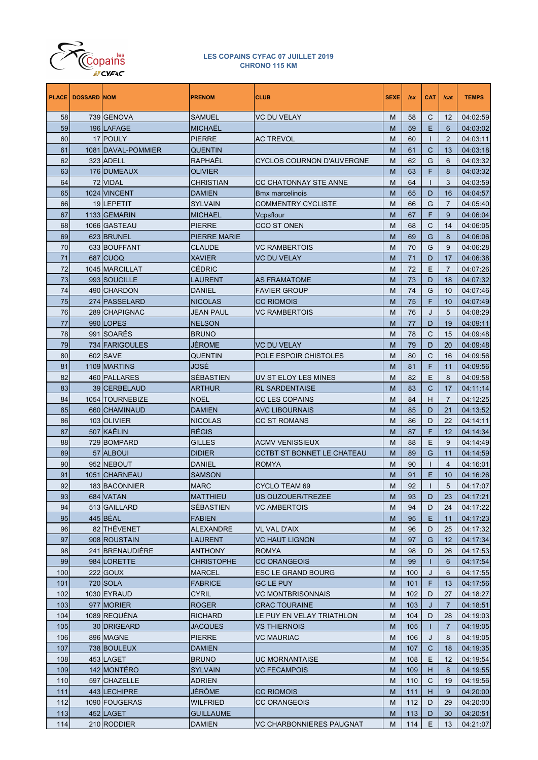

|     | <b>PLACE   DOSSARD NOM</b> |                    | <b>PRENOM</b>       | <b>CLUB</b>                       | <b>SEXE</b> | Isx | <b>CAT</b>   | /cat           | <b>TEMPS</b> |
|-----|----------------------------|--------------------|---------------------|-----------------------------------|-------------|-----|--------------|----------------|--------------|
| 58  |                            | 739 GENOVA         | <b>SAMUEL</b>       | <b>VC DU VELAY</b>                | M           | 58  | С            | 12             | 04:02:59     |
| 59  |                            | 196 LAFAGE         | <b>MICHAËL</b>      |                                   | M           | 59  | E            | 6              | 04:03:02     |
| 60  |                            | 17 POULY           | <b>PIERRE</b>       | <b>AC TREVOL</b>                  | М           | 60  | $\mathbf{I}$ | $\overline{2}$ | 04:03:11     |
| 61  |                            | 1081 DAVAL-POMMIER | <b>QUENTIN</b>      |                                   | М           | 61  | C            | 13             | 04:03:18     |
| 62  |                            | 323 ADELL          | RAPHAËL             | CYCLOS COURNON D'AUVERGNE         | М           | 62  | G            | 6              | 04:03:32     |
| 63  |                            | 176 DUMEAUX        | <b>OLIVIER</b>      |                                   | М           | 63  | F            | 8              | 04:03:32     |
| 64  |                            | 72 VIDAL           | <b>CHRISTIAN</b>    | CC CHATONNAY STE ANNE             | М           | 64  | ı            | 3              | 04:03:59     |
| 65  |                            | 1024 VINCENT       | <b>DAMIEN</b>       | <b>Bmx marcelinois</b>            | М           | 65  | D            | 16             | 04:04:57     |
| 66  |                            | 19LEPETIT          | <b>SYLVAIN</b>      | <b>COMMENTRY CYCLISTE</b>         | М           | 66  | G            | $\overline{7}$ | 04:05:40     |
| 67  |                            | 1133 GEMARIN       | <b>MICHAEL</b>      | Vcpsflour                         | M           | 67  | F            | 9              | 04:06:04     |
| 68  |                            | 1066 GASTEAU       | <b>PIERRE</b>       | CCO ST ONEN                       | М           | 68  | С            | 14             | 04:06:05     |
| 69  |                            | 623 BRUNEL         | <b>PIERRE MARIE</b> |                                   | M           | 69  | G            | 8              | 04:06:06     |
| 70  |                            | 633 BOUFFANT       | <b>CLAUDE</b>       | VC RAMBERTOIS                     | M           | 70  | G            | 9              | 04:06:28     |
| 71  |                            | 687 CUOQ           | <b>XAVIER</b>       | <b>VC DU VELAY</b>                | M           | 71  | D            | 17             | 04:06:38     |
| 72  |                            | 1045 MARCILLAT     | <b>CÉDRIC</b>       |                                   | M           | 72  | E            | $\overline{7}$ | 04:07:26     |
| 73  |                            | 993 SOUCILLE       | <b>LAURENT</b>      | <b>AS FRAMATOME</b>               | М           | 73  | D            | 18             | 04:07:32     |
| 74  |                            | 490 CHARDON        | <b>DANIEL</b>       | <b>FAVIER GROUP</b>               | M           | 74  | G            | 10             | 04:07:46     |
| 75  |                            | 274 PASSELARD      | <b>NICOLAS</b>      | <b>CC RIOMOIS</b>                 | M           | 75  | F            | 10             | 04:07:49     |
| 76  |                            | 289 CHAPIGNAC      | <b>JEAN PAUL</b>    | VC RAMBERTOIS                     | M           | 76  | J            | 5              | 04:08:29     |
| 77  |                            | 990 LOPES          | <b>NELSON</b>       |                                   | M           | 77  | D            | 19             | 04:09:11     |
| 78  |                            | 991 SOARES         | <b>BRUNO</b>        |                                   | М           | 78  | C            | 15             | 04:09:48     |
| 79  |                            | 734 FARIGOULES     | <b>JÉROME</b>       | <b>VC DU VELAY</b>                | M           | 79  | D            | 20             | 04:09:48     |
| 80  |                            | 602 SAVE           | <b>QUENTIN</b>      | POLE ESPOIR CHISTOLES             | М           | 80  | C            | 16             | 04:09:56     |
| 81  |                            | 1109 MARTINS       | JOSÉ                |                                   | М           | 81  | F            | 11             | 04:09:56     |
| 82  |                            | 460 PALLARES       | <b>SÉBASTIEN</b>    | UV ST ELOY LES MINES              | М           | 82  | Ε            | 8              | 04:09:58     |
| 83  |                            | 39 CERBELAUD       | <b>ARTHUR</b>       | <b>RL SARDENTAISE</b>             | М           | 83  | C            | 17             | 04:11:14     |
| 84  |                            | 1054 TOURNEBIZE    | <b>NOËL</b>         | <b>CC LES COPAINS</b>             | М           | 84  | н            | $\overline{7}$ | 04:12:25     |
| 85  |                            | 660 CHAMINAUD      | <b>DAMIEN</b>       | <b>AVC LIBOURNAIS</b>             | М           | 85  | D            | 21             | 04:13:52     |
| 86  |                            | 103 OLIVIER        | <b>NICOLAS</b>      | <b>CC ST ROMANS</b>               | M           | 86  | D            | 22             | 04:14:11     |
| 87  |                            | 507 KAËLIN         | <b>RÉGIS</b>        |                                   | M           | 87  | F            | $12 \,$        | 04:14:34     |
| 88  |                            | 729 BOMPARD        | <b>GILLES</b>       | <b>ACMV VENISSIEUX</b>            | М           | 88  | Ε            | 9              | 04:14:49     |
| 89  |                            | 57 ALBOUI          | <b>DIDIER</b>       | <b>CCTBT ST BONNET LE CHATEAU</b> | М           | 89  | G            | 11             | 04:14:59     |
| 90  |                            | 952 NEBOUT         | <b>DANIEL</b>       | <b>ROMYA</b>                      | M           | 90  | $\mathbf{I}$ | $\overline{4}$ | 04:16:01     |
| 91  |                            | 1051 CHARNEAU      | <b>SAMSON</b>       |                                   | M           | 91  | Е            | 10             | 04:16:26     |
| 92  |                            | 183 BACONNIER      | <b>MARC</b>         | <b>CYCLO TEAM 69</b>              | М           | 92  |              | 5              | 04:17:07     |
| 93  |                            | 684 VATAN          | <b>MATTHIEU</b>     | US OUZOUER/TREZEE                 | M           | 93  | D            | 23             | 04:17:21     |
| 94  |                            | 513 GAILLARD       | <b>SÉBASTIEN</b>    | <b>VC AMBERTOIS</b>               | M           | 94  | D            | 24             | 04:17:22     |
| 95  |                            | 445 BÉAL           | <b>FABIEN</b>       |                                   | M           | 95  | Е            | 11             | 04:17:23     |
| 96  |                            | 82 THÉVENET        | <b>ALEXANDRE</b>    | VL VAL D'AIX                      | M           | 96  | D            | 25             | 04:17:32     |
| 97  |                            | 908 ROUSTAIN       | <b>LAURENT</b>      | <b>VC HAUT LIGNON</b>             | M           | 97  | G            | 12             | 04:17:34     |
| 98  |                            | 241 BRENAUDIÈRE    | <b>ANTHONY</b>      | <b>ROMYA</b>                      | M           | 98  | D            | 26             | 04:17:53     |
| 99  |                            | 984 LORETTE        | <b>CHRISTOPHE</b>   | <b>CC ORANGEOIS</b>               | M           | 99  | Т            | 6              | 04:17:54     |
| 100 |                            | 222 GOUX           | <b>MARCEL</b>       | ESC LE GRAND BOURG                | M           | 100 | J            | 6              | 04:17:55     |
| 101 |                            | 720 SOLA           | <b>FABRICE</b>      | <b>GC LE PUY</b>                  | M           | 101 | F            | 13             | 04:17:56     |
| 102 |                            | 1030 EYRAUD        | <b>CYRIL</b>        | VC MONTBRISONNAIS                 | M           | 102 | D            | 27             | 04:18:27     |
| 103 |                            | 977 MORIER         | <b>ROGER</b>        | <b>CRAC TOURAINE</b>              | M           | 103 | J            | $\overline{7}$ | 04:18:51     |
| 104 |                            | 1089 REQUÉNA       | <b>RICHARD</b>      | LE PUY EN VELAY TRIATHLON         | M           | 104 | D            | 28             | 04:19:03     |
| 105 |                            | 30 DRIGEARD        | JACQUES             | VS THIERNOIS                      | M           | 105 | т            | $\overline{7}$ | 04:19:05     |
| 106 |                            | 896 MAGNE          | <b>PIERRE</b>       | VC MAURIAC                        | M           | 106 | J            | 8              | 04:19:05     |
| 107 |                            | 738 BOULEUX        | <b>DAMIEN</b>       |                                   | M           | 107 | C            | 18             | 04:19:35     |
| 108 |                            | 453 LAGET          | <b>BRUNO</b>        | UC MORNANTAISE                    | M           | 108 | Е            | 12             | 04:19:54     |
| 109 |                            | 142 MONTÉRO        | <b>SYLVAIN</b>      | <b>VC FECAMPOIS</b>               | M           | 109 | н            | 8              | 04:19:55     |
| 110 |                            | 597 CHAZELLE       | <b>ADRIEN</b>       |                                   | M           | 110 | С            | 19             | 04:19:56     |
| 111 |                            | 443 LECHIPRE       | JÉRÔME              | <b>CC RIOMOIS</b>                 | M           | 111 | н            | 9              | 04:20:00     |
| 112 |                            | 1090 FOUGERAS      | WILFRIED            | <b>CC ORANGEOIS</b>               | M           | 112 | D            | 29             | 04:20:00     |
| 113 |                            | 452 LAGET          | <b>GUILLAUME</b>    |                                   | M           | 113 | D            | 30             | 04:20:51     |
| 114 |                            | 210 RODDIER        | <b>DAMIEN</b>       | VC CHARBONNIERES PAUGNAT          | М           | 114 | Ε            | 13             | 04:21:07     |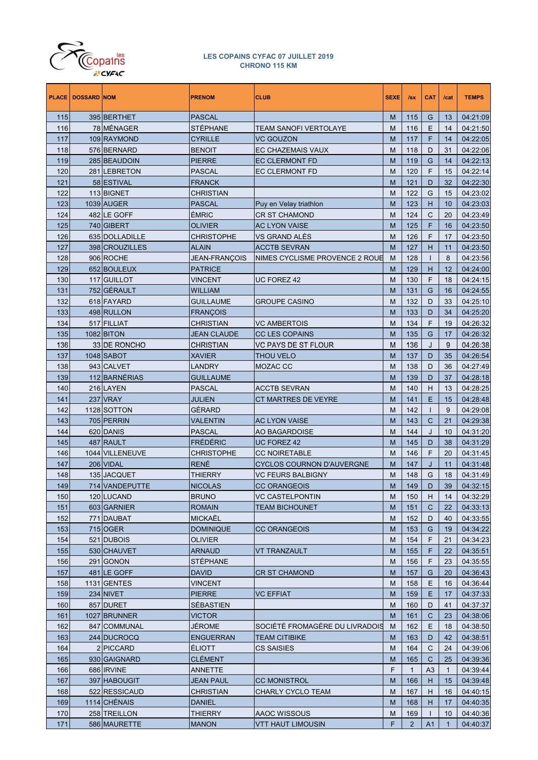

|            | <b>PLACE   DOSSARD NOM</b> |                            | <b>PRENOM</b>                   | <b>CLUB</b>                      | <b>SEXE</b> | $\sqrt{sx}$    | <b>CAT</b>     | /cat         | <b>TEMPS</b>         |
|------------|----------------------------|----------------------------|---------------------------------|----------------------------------|-------------|----------------|----------------|--------------|----------------------|
| 115        |                            | 395 BERTHET                | PASCAL                          |                                  | M           | 115            | G              | 13           | 04:21:09             |
| 116        |                            | 78 MENAGER                 | STÉPHANE                        | <b>TEAM SANOFI VERTOLAYE</b>     | M           | 116            | Е              | 14           | 04:21:50             |
| 117        |                            | 109 RAYMOND                | CYRILLE                         | <b>VC GOUZON</b>                 | M           | 117            | F              | 14           | 04:22:05             |
| 118        |                            | 576 BERNARD                | <b>BENOIT</b>                   | <b>EC CHAZEMAIS VAUX</b>         | M           | 118            | D              | 31           | 04:22:06             |
| 119        |                            | 285 BEAUDOIN               | PIERRE                          | <b>EC CLERMONT FD</b>            | M           | 119            | G              | 14           | 04:22:13             |
| 120        |                            | 281 LEBRETON               | PASCAL                          | <b>EC CLERMONT FD</b>            | M           | 120            | F              | 15           | 04:22:14             |
| 121        |                            | 58 ESTIVAL                 | <b>FRANCK</b>                   |                                  | M           | 121            | D              | 32           | 04:22:30             |
| 122        |                            | 113 BIGNET                 | CHRISTIAN                       |                                  | M           | 122            | G              | 15           | 04:23:02             |
| 123        |                            | 1039 AUGER                 | <b>PASCAL</b>                   | Puy en Velay triathlon           | M           | 123            | H              | 10           | 04:23:03             |
| 124        |                            | 482 LE GOFF                | <b>ÉMRIC</b>                    | <b>CR ST CHAMOND</b>             | M           | 124            | C              | 20           | 04:23:49             |
| 125        |                            | 740 GIBERT                 | OLIVIER                         | <b>AC LYON VAISE</b>             | M           | 125            | F              | 16           | 04:23:50             |
| 126        |                            | 635 DOLLADILLE             | CHRISTOPHE                      | VS GRAND ALÉS                    | M           | 126            | F              | 17           | 04:23:50             |
| 127        |                            | 398 CROUZILLES             | <b>ALAIN</b>                    | <b>ACCTB SEVRAN</b>              | M           | 127            | H              | 11           | 04:23:50             |
| 128        |                            | 906 ROCHE                  | JEAN-FRANÇOIS                   | NIMES CYCLISME PROVENCE 2 ROUE   | M           | 128            | $\mathbf{I}$   | 8            | 04:23:56             |
| 129        |                            | 652 BOULEUX                | PATRICE                         |                                  | M           | 129            | H              | 12           | 04:24:00             |
| 130        |                            | 117 GUILLOT                | VINCENT                         | UC FOREZ 42                      | M           | 130            | F              | 18           | 04:24:15             |
| 131        |                            | 752 GÉRAULT                | WILLIAM                         |                                  | M           | 131            | G              | 16           | 04:24:55             |
| 132        |                            | 618 FAYARD                 | Guillaume                       | <b>GROUPE CASINO</b>             | M           | 132            | D              | 33           | 04:25:10             |
| 133        |                            | 498 RULLON                 | FRANÇOIS                        | <b>VC AMBERTOIS</b>              | M           | 133            | D              | 34           | 04:25:20             |
| 134        |                            | 517 FILLIAT                | CHRISTIAN<br><b>JEAN CLAUDE</b> | <b>CC LES COPAINS</b>            | M           | 134            | F              | 19           | 04:26:32             |
| 135<br>136 |                            | 1082 BITON<br>33 DE RONCHO | CHRISTIAN                       | VC PAYS DE ST FLOUR              | M<br>M      | 135<br>136     | G<br>J         | 17<br>9      | 04:26:32<br>04:26:38 |
| 137        |                            | 1048 SABOT                 | XAVIER                          | <b>THOU VELO</b>                 | M           | 137            | D              | 35           | 04:26:54             |
| 138        |                            | 943 CALVET                 | LANDRY                          | MOZAC CC                         | M           | 138            | D              | 36           | 04:27:49             |
| 139        |                            | 112 BARNÉRIAS              | Guillaume                       |                                  | M           | 139            | D              | 37           | 04:28:18             |
| 140        |                            | 216 LAYEN                  | PASCAL                          | <b>ACCTB SEVRAN</b>              | M           | 140            | H              | 13           | 04:28:25             |
| 141        |                            | 237 VRAY                   | JULIEN                          | CT MARTRES DE VEYRE              | M           | 141            | Е              | 15           | 04:28:48             |
| 142        |                            | 1128 SOTTON                | GÉRARD                          |                                  | M           | 142            | $\mathbf{I}$   | 9            | 04:29:08             |
| 143        |                            | 705 PERRIN                 | VALENTIN                        | <b>AC LYON VAISE</b>             | M           | 143            | C              | 21           | 04:29:38             |
| 144        |                            | 620 DANIS                  | PASCAL                          | <b>AO BAGARDOISE</b>             | M           | 144            | J              | 10           | 04:31:20             |
| 145        |                            | 487 RAULT                  | FRÉDÉRIC                        | <b>UC FOREZ 42</b>               | M           | 145            | D              | 38           | 04:31:29             |
| 146        |                            | 1044 VILLENEUVE            | CHRISTOPHE                      | <b>CC NOIRETABLE</b>             | M           | 146            | F              | 20           | 04:31:45             |
| 147        |                            | 206 VIDAL                  | RENÉ                            | <b>CYCLOS COURNON D'AUVERGNE</b> | M           | 147            | J              | 11           | 04:31:48             |
| 148        |                            | 135 JACQUET                | <b>THIERRY</b>                  | <b>VC FEURS BALBIGNY</b>         | M           | 148            | G              | 18           | 04:31:49             |
| 149        |                            | 714 VANDEPUTTE             | <b>NICOLAS</b>                  | <b>CC ORANGEOIS</b>              | M           | 149            | D              | 39           | 04:32:15             |
| 150        |                            | 120 LUCAND                 | <b>BRUNO</b>                    | <b>VC CASTELPONTIN</b>           | M           | 150            | H              | 14           | 04:32:29             |
| 151        |                            | 603 GARNIER                | ROMAIN                          | <b>TEAM BICHOUNET</b>            | M           | 151            | C              | 22           | 04:33:13             |
| 152        |                            | 771 DAUBAT                 | <b>MICKAEL</b>                  |                                  | M           | 152            | D              | 40           | 04:33:55             |
| 153        |                            | 715 OGER                   | DOMINIQUE                       | <b>CC ORANGEOIS</b>              | M           | 153            | G              | 19           | 04:34:22             |
| 154        |                            | 521 DUBOIS                 | OLIVIER                         |                                  | M           | 154            | F              | 21           | 04:34:23             |
| 155        |                            | 530 CHAUVET                | ARNAUD                          | <b>VT TRANZAULT</b>              | M           | 155            | F              | 22           | 04:35:51             |
| 156        |                            | 291 GONON                  | STÉPHANE                        |                                  | M           | 156            | F              | 23           | 04:35:55             |
| 157        |                            | 481 LE GOFF                | David                           | <b>CR ST CHAMOND</b>             | M           | 157            | G              | 20           | 04:36:43             |
| 158        |                            | 1131 GENTES                | <b>VINCENT</b>                  |                                  | M           | 158            | Ε              | 16           | 04:36:44             |
| 159        |                            | 234 NIVET                  | PIERRE                          | <b>VC EFFIAT</b>                 | M           | 159            | E.             | 17           | 04:37:33             |
| 160        |                            | 857 DURET                  | SÉBASTIEN                       |                                  | M           | 160            | D              | 41           | 04:37:37             |
| 161        |                            | 1027 BRUNNER               | VICTOR                          |                                  | M           | 161            | $\mathsf{C}$   | 23           | 04:38:06             |
| 162        |                            | 847 COMMUNAL               | JÉROME                          | SOCIÉTÉ FROMAGÉRE DU LIVRADOIS   | M           | 162            | Ε              | 18           | 04:38:50             |
| 163        |                            | 244 DUCROCQ                | ENGUERRAN                       | <b>TEAM CITIBIKE</b>             | M           | 163            | D              | 42           | 04:38:51             |
| 164        |                            | 2 PICCARD                  | <b>ELIOTT</b>                   | <b>CS SAISIES</b>                | M           | 164            | $\mathsf{C}$   | 24           | 04:39:06             |
| 165        |                            | 930 GAIGNARD               | CLÉMENT                         |                                  | M           | 165            | $\mathsf{C}$   | 25           | 04:39:36             |
| 166        |                            | 686 IRVINE                 | ANNETTE                         |                                  | F           | $\mathbf{1}$   | A <sub>3</sub> | $\mathbf{1}$ | 04:39:44             |
| 167        |                            | 397 HABOUGIT               | JEAN PAUL                       | <b>CC MONISTROL</b>              | M           | 166            | H              | 15           | 04:39:48             |
| 168        |                            | 522 RESSICAUD              | CHRISTIAN                       | <b>CHARLY CYCLO TEAM</b>         | M           | 167            | H              | 16           | 04:40:15             |
| 169        |                            | 1114 CHÉNAIS               | DANIEL                          |                                  | M           | 168            | H.             | 17           | 04:40:35             |
| 170        |                            | 258 TREILLON               | THIERRY                         | AAOC WISSOUS                     | М           | 169            | L              | 10           | 04:40:36             |
| 171        |                            | 586 MAURETTE               | <b>MANON</b>                    | <b>VTT HAUT LIMOUSIN</b>         | F           | $\overline{2}$ | A <sub>1</sub> | 1            | 04:40:37             |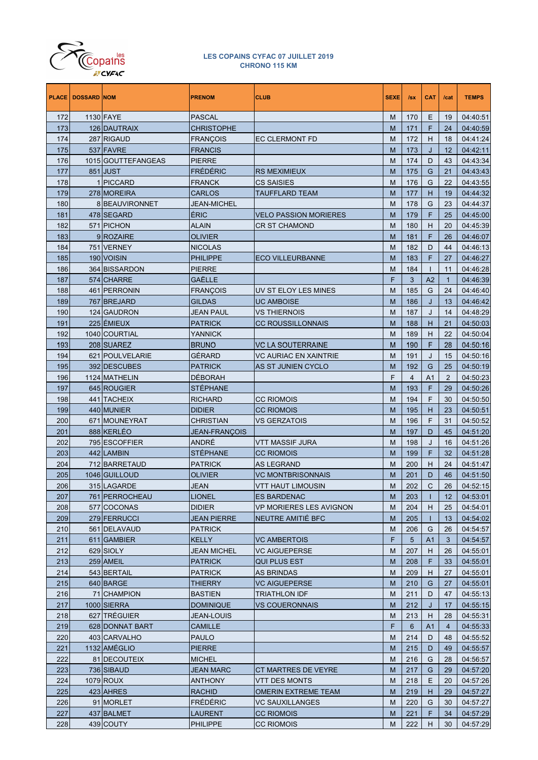

| <b>PLACE</b> | <b>DOSSARD NOM</b> |                    | <b>PRENOM</b>      | <b>CLUB</b>                  | <b>SEXE</b> | Isx            | <b>CAT</b> | /cat           | <b>TEMPS</b> |
|--------------|--------------------|--------------------|--------------------|------------------------------|-------------|----------------|------------|----------------|--------------|
| 172          |                    | 1130 FAYE          | <b>PASCAL</b>      |                              | M           | 170            | Ε          | 19             | 04:40:51     |
| 173          |                    | 126 DAUTRAIX       | CHRISTOPHE         |                              | M           | 171            | F          | 24             | 04:40:59     |
| 174          |                    | 287 RIGAUD         | <b>FRANCOIS</b>    | <b>EC CLERMONT FD</b>        | M           | 172            | Н          | 18             | 04:41:24     |
| 175          |                    | 537 FAVRE          | <b>FRANCIS</b>     |                              | M           | 173            | J          | 12             | 04:42:11     |
| 176          |                    | 1015 GOUTTEFANGEAS | PIERRE             |                              | M           | 174            | D          | 43             | 04:43:34     |
| 177          |                    | 851 JUST           | FRÉDÉRIC           | <b>RS MEXIMIEUX</b>          | M           | 175            | G          | 21             | 04:43:43     |
| 178          |                    | <b>PICCARD</b>     | FRANCK             | CS SAISIES                   | M           | 176            | G          | 22             | 04:43:55     |
| 179          |                    | 278 MOREIRA        | <b>CARLOS</b>      | <b>TAUFFLARD TEAM</b>        | M           | 177            | н          | 19             | 04:44:32     |
| 180          |                    | 8 BEAUVIRONNET     | JEAN-MICHEL        |                              | M           | 178            | G          | 23             | 04:44:37     |
| 181          |                    | 478 SEGARD         | ÉRIC               | <b>VELO PASSION MORIERES</b> | M           | 179            | F          | 25             | 04:45:00     |
| 182          |                    | 571 PICHON         | ALAIN              | <b>CR ST CHAMOND</b>         | M           | 180            | н          | 20             | 04:45:39     |
| 183          |                    | 9ROZAIRE           | OLIVIER            |                              | M           | 181            | F          | 26             | 04:46:07     |
| 184          |                    | 751 VERNEY         | NICOLAS            |                              | M           | 182            | D          | 44             | 04:46:13     |
| 185          |                    | 190 VOISIN         | PHILIPPE           | <b>ECO VILLEURBANNE</b>      | M           | 183            | F          | 27             | 04:46:27     |
| 186          |                    | 364 BISSARDON      | PIERRE             |                              | M           | 184            | T          | 11             | 04:46:28     |
| 187          |                    | 574 CHARRE         | GAËLLE             |                              | F           | 3              | A2         | $\mathbf{1}$   | 04:46:39     |
| 188          |                    | 461 PERRONIN       | FRANÇOIS           | UV ST ELOY LES MINES         | M           | 185            | G          | 24             | 04:46:40     |
| 189          |                    | 767 BREJARD        | GILDAS             | <b>UC AMBOISE</b>            | M           | 186            | J          | 13             | 04:46:42     |
| 190          |                    | 124 GAUDRON        | JEAN PAUL          | VS THIERNOIS                 | M           | 187            | J          | 14             | 04:48:29     |
| 191          |                    | 225 ÉMIEUX         | <b>PATRICK</b>     | <b>CC ROUSSILLONNAIS</b>     | M           | 188            | н          | 21             | 04:50:03     |
| 192          |                    | 1040 COURTIAL      | YANNICK            |                              | M           | 189            | н          | 22             | 04:50:04     |
| 193          |                    | 208 SUAREZ         | <b>BRUNO</b>       | <b>VC LA SOUTERRAINE</b>     | M           | 190            | F          | 28             | 04:50:16     |
| 194          |                    | 621 POULVELARIE    | GÉRARD             | <b>VC AURIAC EN XAINTRIE</b> | M           | 191            | J          | 15             | 04:50:16     |
| 195          |                    | 392 DESCUBES       | <b>PATRICK</b>     | AS ST JUNIEN CYCLO           | M           | 192            | G          | 25             | 04:50:19     |
| 196          |                    | 1124 MATHELIN      | DÉBORAH            |                              | F           | $\overline{4}$ | A1         | 2              | 04:50:23     |
| 197          |                    | 645 ROUGIER        | <b>STÉPHANE</b>    |                              | M           | 193            | F          | 29             | 04:50:26     |
| 198          |                    | 441 TACHEIX        | RICHARD            | <b>CC RIOMOIS</b>            | M           | 194            | F          | 30             | 04:50:50     |
| 199          |                    | 440 MUNIER         | <b>DIDIER</b>      | <b>CC RIOMOIS</b>            | M           | 195            | H          | 23             | 04:50:51     |
| 200          |                    | 671 MOUNEYRAT      | CHRISTIAN          | VS GERZATOIS                 | M           | 196            | F          | 31             | 04:50:52     |
| 201          |                    | 888 KERLÉO         | JEAN-FRANÇOIS      |                              | M           | 197            | D          | 45             | 04:51:20     |
| 202          |                    | 795 ESCOFFIER      | ANDRÉ              | VTT MASSIF JURA              | M           | 198            | J          | 16             | 04:51:26     |
| 203          |                    | 442 LAMBIN         | <b>STÉPHANE</b>    | <b>CC RIOMOIS</b>            | M           | 199            | F          | 32             | 04:51:28     |
| 204          |                    | 712 BARRETAUD      | PATRICK            | <b>AS LEGRAND</b>            | M           | 200            | Н          | 24             | 04:51:47     |
| 205          |                    | 1046 GUILLOUD      | OLIVIER            | <b>VC MONTBRISONNAIS</b>     | M           | 201            | D          | 46             | 04:51:50     |
| 206          |                    | 315 LAGARDE        | <b>JEAN</b>        | <b>VTT HAUT LIMOUSIN</b>     | M           | 202            | C          | 26             | 04:52:15     |
| 207          |                    | 761 PERROCHEAU     | <b>LIONEL</b>      | <b>ES BARDENAC</b>           | M           | 203            | Т          | 12             | 04:53:01     |
| 208          |                    | 577 COCONAS        | DIDIER             | VP MORIERES LES AVIGNON      | M           | 204            | н          | 25             | 04:54:01     |
| 209          |                    | 279 FERRUCCI       | <b>JEAN PIERRE</b> | NEUTRE AMITIE BFC            | M           | 205            | L          | 13             | 04:54:02     |
| 210          |                    | 561 DELAVAUD       | PATRICK            |                              | M           | 206            | G          | 26             | 04:54:57     |
| 211          |                    | 611 GAMBIER        | <b>KELLY</b>       | <b>VC AMBERTOIS</b>          | F           | 5              | A1         | 3              | 04:54:57     |
| 212          |                    | 629 SIOLY          | <b>JEAN MICHEL</b> | <b>VC AIGUEPERSE</b>         | M           | 207            | н          | 26             | 04:55:01     |
| 213          |                    | 259 AMEIL          | PATRICK            | <b>QUI PLUS EST</b>          | M           | 208            | F          | 33             | 04:55:01     |
| 214          |                    | 543 BERTAIL        | PATRICK            | <b>AS BRINDAS</b>            | M           | 209            | н          | 27             | 04:55:01     |
| 215          |                    | 640 BARGE          | THIERRY            | <b>VC AIGUEPERSE</b>         | M           | 210            | G          | 27             | 04:55:01     |
| 216          |                    | 71 CHAMPION        | BASTIEN            | <b>TRIATHLON IDF</b>         | M           | 211            | D          | 47             | 04:55:13     |
| 217          |                    | 1000 SIERRA        | DOMINIQUE          | <b>VS COUERONNAIS</b>        | M           | 212            | J          | 17             | 04:55:15     |
| 218          |                    | 627 TRÉGUIER       | JEAN-LOUIS         |                              | M           | 213            | н          | 28             | 04:55:31     |
| 219          |                    | 628 DONNAT BART    | CAMILLE            |                              | F           | 6              | A1         | $\overline{4}$ | 04:55:33     |
| 220          |                    | 403 CARVALHO       | PAULO              |                              | M           | 214            | D          | 48             | 04:55:52     |
| 221          |                    | 1132 AMÉGLIO       | PIERRE             |                              | M           | 215            | D          | 49             | 04:55:57     |
| 222          |                    | 81 DECOUTEIX       | MICHEL             |                              | M           | 216            | G          | 28             | 04:56:57     |
| 223          |                    | 736 SIBAUD         | JEAN MARC          | CT MARTRES DE VEYRE          | M           | 217            | G          | 29             | 04:57:20     |
| 224          |                    | 1079 ROUX          | ANTHONY            | VTT DES MONTS                | M           | 218            | Ε          | 20             | 04:57:26     |
| 225          |                    | 423 AHRES          | RACHID             | <b>OMERIN EXTREME TEAM</b>   | M           | 219            | н          | 29             | 04:57:27     |
| 226          |                    | 91 MORLET          | FRÉDÉRIC           | <b>VC SAUXILLANGES</b>       | M           | 220            | G          | 30             | 04:57:27     |
| 227          |                    | 437 BALMET         | LAURENT            | <b>CC RIOMOIS</b>            | M           | 221            | F          | 34             | 04:57:29     |
| 228          |                    | 439 COUTY          | PHILIPPE           | <b>CC RIOMOIS</b>            | M           | 222            | н          | 30             | 04:57:29     |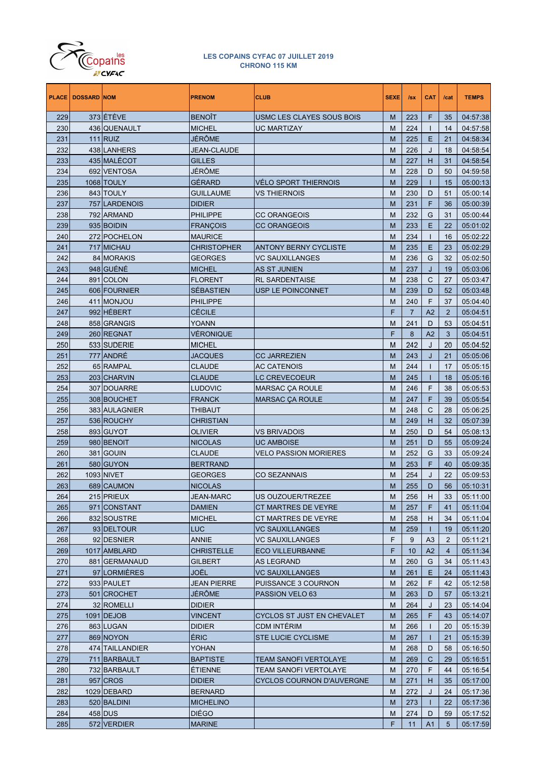

| <b>PLACE</b> | <b>DOSSARD NOM</b> |                   | <b>PRENOM</b>      | <b>CLUB</b>                      | <b>SEXE</b> | $I$ sx         | <b>CAT</b>     | /cat           | <b>TEMPS</b> |
|--------------|--------------------|-------------------|--------------------|----------------------------------|-------------|----------------|----------------|----------------|--------------|
| 229          |                    | 373 ÉTÉVE         | <b>BENOIT</b>      | USMC LES CLAYES SOUS BOIS        | M           | 223            | F              | 35             | 04:57:38     |
| 230          |                    | 436 QUENAULT      | <b>MICHEL</b>      | <b>UC MARTIZAY</b>               | M           | 224            | $\mathbf{I}$   | 14             | 04:57:58     |
| 231          |                    | $111$ RUIZ        | JÉRÔME             |                                  | M           | 225            | Ε              | 21             | 04:58:34     |
| 232          |                    | 438 LANHERS       | <b>JEAN-CLAUDE</b> |                                  | M           | 226            | J              | 18             | 04:58:54     |
| 233          |                    | 435 MALÉCOT       | <b>GILLES</b>      |                                  | M           | 227            | н              | 31             | 04:58:54     |
| 234          |                    | 692 VENTOSA       | JÉRÖME             |                                  | M           | 228            | D              | 50             | 04:59:58     |
| 235          |                    | 1068 TOULY        | GÉRARD             | <b>VELO SPORT THIERNOIS</b>      | M           | 229            | Т              | 15             | 05:00:13     |
| 236          |                    | 843 TOULY         | <b>GUILLAUME</b>   | <b>VS THIERNOIS</b>              | M           | 230            | D              | 51             | 05:00:14     |
| 237          |                    | 757 LARDENOIS     | <b>DIDIER</b>      |                                  | M           | 231            | F              | 36             | 05:00:39     |
| 238          |                    | 792 ARMAND        | <b>PHILIPPE</b>    | <b>CC ORANGEOIS</b>              | M           | 232            | G              | 31             | 05:00:44     |
| 239          |                    | 935 BOIDIN        | <b>FRANÇOIS</b>    | <b>CC ORANGEOIS</b>              | M           | 233            | Ε              | 22             | 05:01:02     |
| 240          |                    | 272 POCHELON      | <b>MAURICE</b>     |                                  | M           | 234            | T              | 16             | 05:02:22     |
| 241          |                    | 717 MICHAU        | <b>CHRISTOPHER</b> | <b>ANTONY BERNY CYCLISTE</b>     | M           | 235            | Ε              | 23             | 05:02:29     |
| 242          |                    | 84 MORAKIS        | <b>GEORGES</b>     | <b>VC SAUXILLANGES</b>           | M           | 236            | G              | 32             | 05:02:50     |
| 243          |                    | 948 GUÉNÉ         | <b>MICHEL</b>      | <b>AS ST JUNIEN</b>              | M           | 237            | J              | 19             | 05:03:06     |
| 244          |                    | 891 COLON         | <b>FLORENT</b>     | <b>RL SARDENTAISE</b>            | M           | 238            | C              | 27             | 05:03:47     |
| 245          |                    | 606 FOURNIER      | SÉBASTIEN          | USP LE POINCONNET                | M           | 239            | D              | 52             | 05:03:48     |
| 246          |                    | 411 MONJOU        | <b>PHILIPPE</b>    |                                  | M           | 240            | F              | 37             | 05:04:40     |
| 247          |                    | 992 HÉBERT        | <b>CÉCILE</b>      |                                  | F           | $\overline{7}$ | A2             | $\overline{2}$ | 05:04:51     |
| 248          |                    | 858 GRANGIS       | YOANN              |                                  | M           | 241            | D              | 53             | 05:04:51     |
| 249          |                    | 260 REGNAT        | VÉRONIQUE          |                                  | F           | 8              | A2             | 3              | 05:04:51     |
| 250          |                    | 533 SUDERIE       | <b>MICHEL</b>      |                                  | M           | 242            | J              | 20             | 05:04:52     |
| 251          |                    | 777 ANDRE         | JACQUES            | <b>CC JARREZIEN</b>              | M           | 243            | J              | 21             | 05:05:06     |
| 252          |                    | 65 RAMPAL         | CLAUDE             | AC CATENOIS                      | M           | 244            | T              | 17             | 05:05:15     |
| 253          |                    | 203 CHARVIN       | <b>CLAUDE</b>      | LC CREVECOEUR                    | M           | 245            | L              | 18             | 05:05:16     |
| 254          |                    | 307 DOUARRE       | LUDOVIC            | MARSAC ÇA ROULE                  | M           | 246            | F              | 38             | 05:05:53     |
| 255          |                    | 308 BOUCHET       | <b>FRANCK</b>      | <b>MARSAC ÇA ROULE</b>           | M           | 247            | F              | 39             | 05:05:54     |
| 256          |                    | 383 AULAGNIER     | THIBAUT            |                                  | M           | 248            | C              | 28             | 05:06:25     |
| 257          |                    | 536 ROUCHY        | CHRISTIAN          |                                  | M           | 249            | н              | 32             | 05:07:39     |
| 258          |                    | 893 GUYOT         | OLIVIER            | <b>VS BRIVADOIS</b>              | M           | 250            | D              | 54             | 05:08:13     |
| 259          |                    | 980 BENOIT        | <b>NICOLAS</b>     | <b>UC AMBOISE</b>                | M           | 251            | D              | 55             | 05:09:24     |
| 260          |                    | 381 GOUIN         | CLAUDE             | <b>VELO PASSION MORIERES</b>     | M           | 252            | G              | 33             | 05:09:24     |
| 261          |                    | 580 GUYON         | <b>BERTRAND</b>    |                                  | M           | 253            | F              | 40             | 05:09:35     |
| 262          |                    | <b>1093 NIVET</b> | <b>GEORGES</b>     | <b>CO SEZANNAIS</b>              | M           | 254            | J              | 22             | 05:09:53     |
| 263          |                    | 689 CAUMON        | <b>NICOLAS</b>     |                                  | M           | 255            | D              | 56             | 05:10:31     |
| 264          |                    | 215 PRIEUX        | JEAN-MARC          | US OUZOUER/TREZEE                | M           | 256            | н              | 33             | 05:11:00     |
| 265          |                    | 971 CONSTANT      | <b>DAMIEN</b>      | CT MARTRES DE VEYRE              | M           | 257            | F              | 41             | 05:11:04     |
| 266          |                    | 832 SOUSTRE       | <b>MICHEL</b>      | CT MARTRES DE VEYRE              | M           | 258            | H              | 34             | 05:11:04     |
| 267          |                    | 93 DELTOUR        | LUC.               | <b>VC SAUXILLANGES</b>           | M           | 259            | L              | 19             | 05:11:20     |
| 268          |                    | 92 DESNIER        | ANNIE              | <b>VC SAUXILLANGES</b>           | F           | 9              | A <sub>3</sub> | $\overline{2}$ | 05:11:21     |
| 269          |                    | 1017 AMBLARD      | CHRISTELLE         | <b>ECO VILLEURBANNE</b>          | F           | 10             | A2             | $\overline{4}$ | 05:11:34     |
| 270          |                    | 881 GERMANAUD     | GILBERT            | <b>AS LEGRAND</b>                | M           | 260            | G              | 34             | 05:11:43     |
| 271          |                    | 97 LORMIÈRES      | JOËL               | <b>VC SAUXILLANGES</b>           | M           | 261            | Е              | 24             | 05:11:43     |
| 272          |                    | 933 PAULET        | JEAN PIERRE        | PUISSANCE 3 COURNON              | M           | 262            | F              | 42             | 05:12:58     |
| 273          |                    | 501 CROCHET       | JÉRÖME             | PASSION VELO 63                  | M           | 263            | D              | 57             | 05:13:21     |
| 274          |                    | 32 ROMELLI        | <b>DIDIER</b>      |                                  | M           | 264            | J              | 23             | 05:14:04     |
| 275          |                    | $1091$ DEJOB      | VINCENT            | CYCLOS ST JUST EN CHEVALET       | M           | 265            | F              | 43             | 05:14:07     |
| 276          |                    | 863 LUGAN         | <b>DIDIER</b>      | <b>CDM INTERIM</b>               | M           | 266            | T              | 20             | 05:15:39     |
| 277          |                    | 869 NOYON         | <b>ÉRIC</b>        | <b>STE LUCIE CYCLISME</b>        | M           | 267            | T              | 21             | 05:15:39     |
| 278          |                    | 474 TAILLANDIER   | YOHAN              |                                  | M           | 268            | D              | 58             | 05:16:50     |
| 279          |                    | 711 BARBAULT      | <b>BAPTISTE</b>    | <b>TEAM SANOFI VERTOLAYE</b>     | M           | 269            | $\mathsf{C}$   | 29             | 05:16:51     |
| 280          |                    | 732 BARBAULT      | <b>ETIENNE</b>     | <b>TEAM SANOFI VERTOLAYE</b>     | M           | 270            | F              | 44             | 05:16:54     |
| 281          |                    | $957$ CROS        | <b>DIDIER</b>      | <b>CYCLOS COURNON D'AUVERGNE</b> | M           | 271            | н              | 35             | 05:17:00     |
| 282          |                    | 1029 DEBARD       | <b>BERNARD</b>     |                                  | M           | 272            | J              | 24             | 05:17:36     |
| 283          |                    | 520 BALDINI       | <b>MICHELINO</b>   |                                  | M           | 273            | T              | 22             | 05:17:36     |
| 284          |                    | 458 DUS           | <b>DIÉGO</b>       |                                  | M           | 274            | D              | 59             | 05:17:52     |
| 285          |                    | 572 VERDIER       | <b>MARINE</b>      |                                  | F           | 11             | A <sub>1</sub> | 5              | 05:17:59     |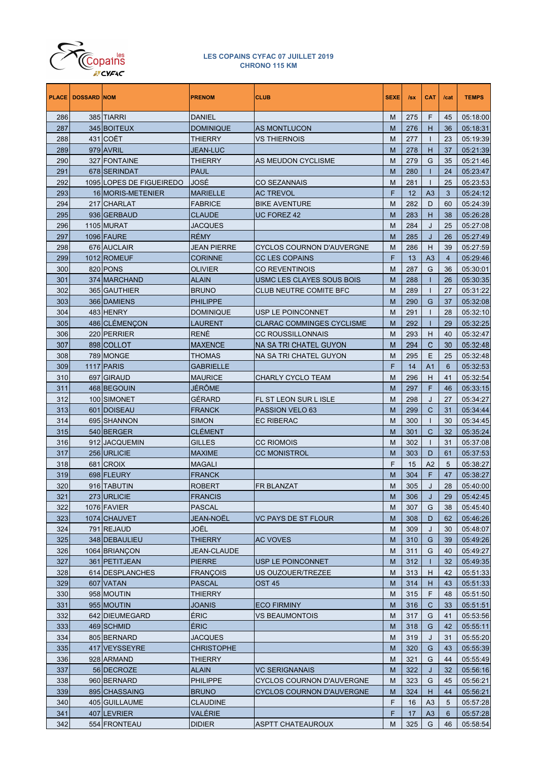

|     | <b>PLACE   DOSSARD NOM</b> |                          | <b>PRENOM</b>     | <b>CLUB</b>                      | <b>SEXE</b> | Isx | <b>CAT</b>     | /cat           | <b>TEMPS</b> |
|-----|----------------------------|--------------------------|-------------------|----------------------------------|-------------|-----|----------------|----------------|--------------|
| 286 |                            | 385 TIARRI               | <b>DANIEL</b>     |                                  | М           | 275 | F              | 45             | 05:18:00     |
| 287 |                            | 345 BOITEUX              | <b>DOMINIQUE</b>  | <b>AS MONTLUCON</b>              | М           | 276 | Н              | 36             | 05:18:31     |
| 288 |                            | 431 COËT                 | <b>THIERRY</b>    | <b>VS THIERNOIS</b>              | М           | 277 | T              | 23             | 05:19:39     |
| 289 |                            | 979 AVRIL                | JEAN-LUC          |                                  | М           | 278 | н              | 37             | 05:21:39     |
| 290 |                            | 327 FONTAINE             | THIERRY           | AS MEUDON CYCLISME               | М           | 279 | G              | 35             | 05:21:46     |
| 291 |                            | 678 SERINDAT             | <b>PAUL</b>       |                                  | М           | 280 | ı              | 24             | 05:23:47     |
| 292 |                            | 1095 LOPES DE FIGUEIREDO | JOSE              | CO SEZANNAIS                     | М           | 281 | $\mathbf{I}$   | 25             | 05:23:53     |
| 293 |                            | 16 MORIS-METENIER        | <b>MARIELLE</b>   | <b>AC TREVOL</b>                 | F           | 12  | A <sub>3</sub> | 3              | 05:24:12     |
| 294 |                            | 217 CHARLAT              | <b>FABRICE</b>    | <b>BIKE AVENTURE</b>             | М           | 282 | D              | 60             | 05:24:39     |
| 295 |                            | 936 GERBAUD              | <b>CLAUDE</b>     | UC FOREZ 42                      | М           | 283 | н              | 38             | 05:26:28     |
| 296 |                            | 1105 MURAT               | <b>JACQUES</b>    |                                  | М           | 284 | J              | 25             | 05:27:08     |
| 297 |                            | 1096 FAURE               | <b>RÉMY</b>       |                                  | М           | 285 | J              | 26             | 05:27:49     |
| 298 |                            | 676 AUCLAIR              | JEAN PIERRE       | CYCLOS COURNON D'AUVERGNE        | М           | 286 | н              | 39             | 05:27:59     |
| 299 |                            | 1012 ROMEUF              | <b>CORINNE</b>    | CC LES COPAINS                   | F           | 13  | A <sub>3</sub> | $\overline{4}$ | 05:29:46     |
| 300 |                            | 820 PONS                 | OLIVIER           | CO REVENTINOIS                   | М           | 287 | G              | 36             | 05:30:01     |
| 301 |                            | 374 MARCHAND             | <b>ALAIN</b>      | USMC LES CLAYES SOUS BOIS        | М           | 288 | ı              | 26             | 05:30:35     |
| 302 |                            | 365 GAUTHIER             | <b>BRUNO</b>      | CLUB NEUTRE COMITE BFC           | М           | 289 | T              | 27             | 05:31:22     |
| 303 |                            | 366 DAMIENS              | <b>PHILIPPE</b>   |                                  | М           | 290 | G              | 37             | 05:32:08     |
| 304 |                            | 483 HENRY                | <b>DOMINIQUE</b>  | USP LE POINCONNET                | М           | 291 | T              | 28             | 05:32:10     |
| 305 |                            | 486 CLÉMENÇON            | LAURENT           | <b>CLARAC COMMINGES CYCLISME</b> | М           | 292 | т              | 29             | 05:32:25     |
| 306 |                            | 220 PERRIER              | <b>RENÉ</b>       | <b>CC ROUSSILLONNAIS</b>         | М           | 293 | н              | 40             | 05:32:47     |
| 307 |                            | 898 COLLOT               | <b>MAXENCE</b>    | NA SA TRI CHATEL GUYON           | М           | 294 | C              | 30             | 05:32:48     |
| 308 |                            | 789 MONGE                | <b>THOMAS</b>     | NA SA TRI CHATEL GUYON           | М           | 295 | Ε              | 25             | 05:32:48     |
| 309 |                            | 1117 PARIS               | <b>GABRIELLE</b>  |                                  | F           | 14  | A <sub>1</sub> | 6              | 05:32:53     |
| 310 |                            | 697 GIRAUD               | <b>MAURICE</b>    | CHARLY CYCLO TEAM                | М           | 296 | н              | 41             | 05:32:54     |
| 311 |                            | 468 BEGOUIN              | <b>JÉRÔME</b>     |                                  | М           | 297 | F              | 46             | 05:33:15     |
| 312 |                            | 100 SIMONET              | GÉRARD            | FL ST LEON SUR L ISLE            | М           | 298 | J              | 27             | 05:34:27     |
| 313 |                            | 601 DOISEAU              | <b>FRANCK</b>     | PASSION VELO 63                  | М           | 299 | C              | 31             | 05:34:44     |
| 314 |                            | 695 SHANNON              | <b>SIMON</b>      | EC RIBERAC                       | М           | 300 | T              | 30             | 05:34:45     |
| 315 |                            | 540 BERGER               | <b>CLÉMENT</b>    |                                  | М           | 301 | C              | 32             | 05:35:24     |
| 316 |                            | 912 JACQUEMIN            | <b>GILLES</b>     | CC RIOMOIS                       | М           | 302 | T              | 31             | 05:37:08     |
| 317 |                            | 256 URLICIE              | <b>MAXIME</b>     | CC MONISTROL                     | М           | 303 | D              | 61             | 05:37:53     |
| 318 |                            | 681 CROIX                | <b>MAGALI</b>     |                                  | F           | 15  | A2             | 5              | 05:38:27     |
| 319 |                            | 698 FLEURY               | <b>FRANCK</b>     |                                  | M           | 304 | F              | 47             | 05:38:27     |
| 320 |                            | 916 TABUTIN              | <b>ROBERT</b>     | <b>FR BLANZAT</b>                | М           | 305 | J              | 28             | 05:40:00     |
| 321 |                            | 273 URLICIE              | <b>FRANCIS</b>    |                                  | М           | 306 | J              | 29             | 05:42:45     |
| 322 |                            | 1076 FAVIER              | PASCAL            |                                  | М           | 307 | G              | 38             | 05:45:40     |
| 323 |                            | 1074 CHAUVET             | JEAN-NOËL         | VC PAYS DE ST FLOUR              | M           | 308 | D              | 62             | 05:46:26     |
| 324 |                            | 791 REJAUD               | JOËL              |                                  | М           | 309 | J              | 30             | 05:48:07     |
| 325 |                            | 348 DEBAULIEU            | <b>THIERRY</b>    | <b>AC VOVES</b>                  | M           | 310 | G              | 39             | 05:49:26     |
| 326 |                            | 1064 BRIANCON            | JEAN-CLAUDE       |                                  | М           | 311 | G              | 40             | 05:49:27     |
| 327 |                            | 361 PETITJEAN            | <b>PIERRE</b>     | USP LE POINCONNET                | M           | 312 | ı              | 32             | 05:49:35     |
| 328 |                            | 614 DESPLANCHES          | <b>FRANÇOIS</b>   | US OUZOUER/TREZEE                | М           | 313 | н              | 42             | 05:51:33     |
| 329 |                            | 607 VATAN                | <b>PASCAL</b>     | OST 45                           | М           | 314 | н              | 43             | 05:51:33     |
| 330 |                            | 958 MOUTIN               | THIERRY           |                                  | М           | 315 | F              | 48             | 05:51:50     |
| 331 |                            | 955 MOUTIN               | <b>JOANIS</b>     | <b>ECO FIRMINY</b>               | М           | 316 | $\mathsf{C}$   | 33             | 05:51:51     |
| 332 |                            | 642 DIEUMEGARD           | <b>ÉRIC</b>       | VS BEAUMONTOIS                   | М           | 317 | G              | 41             | 05:53:56     |
| 333 |                            | 469 SCHMID               | <b>ÉRIC</b>       |                                  | М           | 318 | G              | 42             | 05:55:11     |
| 334 |                            | 805 BERNARD              | JACQUES           |                                  | М           | 319 | J              | 31             | 05:55:20     |
| 335 |                            | 417 VEYSSEYRE            | <b>CHRISTOPHE</b> |                                  | M           | 320 | G              | 43             | 05:55:39     |
| 336 |                            | 928 ARMAND               | THIERRY           |                                  | М           | 321 | G              | 44             | 05:55:49     |
| 337 |                            | 56 DECROZE               | <b>ALAIN</b>      | <b>VC SERIGNANAIS</b>            | М           | 322 | J              | 32             | 05:56:16     |
| 338 |                            | 960 BERNARD              | <b>PHILIPPE</b>   | CYCLOS COURNON D'AUVERGNE        | М           | 323 | G              | 45             | 05:56:21     |
| 339 |                            | 895 CHASSAING            | <b>BRUNO</b>      | CYCLOS COURNON D'AUVERGNE        | М           | 324 | н              | 44             | 05:56:21     |
| 340 |                            | 405 GUILLAUME            | <b>CLAUDINE</b>   |                                  | F           | 16  | A <sub>3</sub> | 5              | 05:57:28     |
| 341 |                            | 407 LEVRIER              | VALÉRIE           |                                  | F           | 17  | A3             | 6              | 05:57:28     |
| 342 |                            | 554 FRONTEAU             | <b>DIDIER</b>     | ASPTT CHATEAUROUX                | М           | 325 | G              | 46             | 05:58:54     |